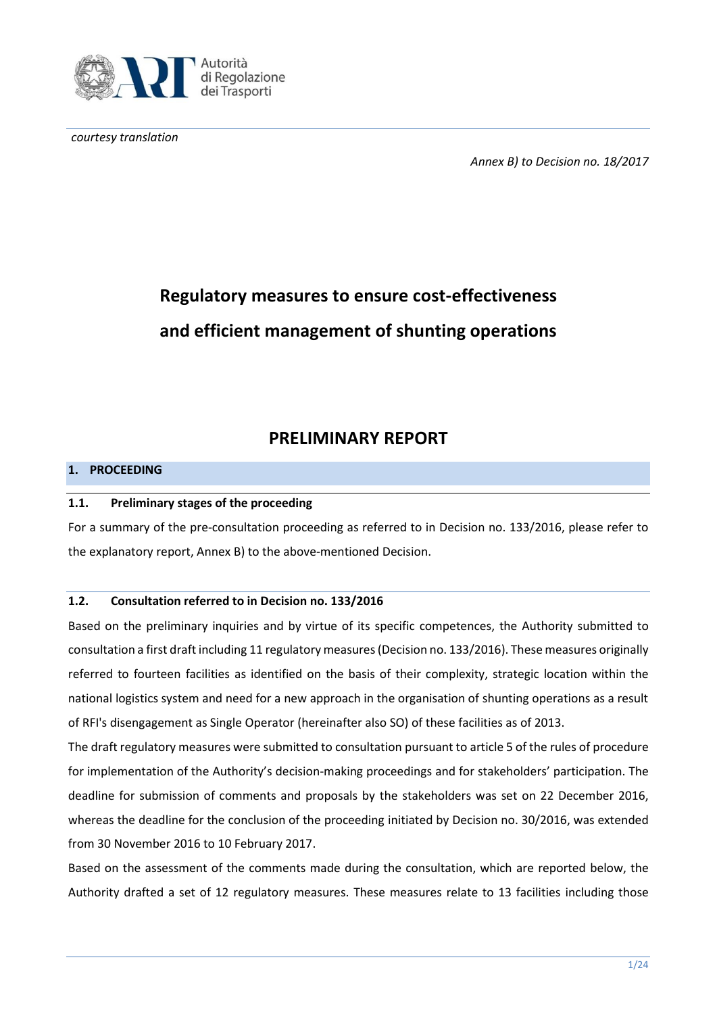

*courtesy translation*

*Annex B) to Decision no. 18/2017*

# **Regulatory measures to ensure cost-effectiveness and efficient management of shunting operations**

## **PRELIMINARY REPORT**

## **1. PROCEEDING**

#### **1.1. Preliminary stages of the proceeding**

For a summary of the pre-consultation proceeding as referred to in Decision no. 133/2016, please refer to the explanatory report, Annex B) to the above-mentioned Decision.

#### **1.2. Consultation referred to in Decision no. 133/2016**

Based on the preliminary inquiries and by virtue of its specific competences, the Authority submitted to consultation a first draft including 11 regulatory measures(Decision no. 133/2016). These measures originally referred to fourteen facilities as identified on the basis of their complexity, strategic location within the national logistics system and need for a new approach in the organisation of shunting operations as a result of RFI's disengagement as Single Operator (hereinafter also SO) of these facilities as of 2013.

The draft regulatory measures were submitted to consultation pursuant to article 5 of the rules of procedure for implementation of the Authority's decision-making proceedings and for stakeholders' participation. The deadline for submission of comments and proposals by the stakeholders was set on 22 December 2016, whereas the deadline for the conclusion of the proceeding initiated by Decision no. 30/2016, was extended from 30 November 2016 to 10 February 2017.

Based on the assessment of the comments made during the consultation, which are reported below, the Authority drafted a set of 12 regulatory measures. These measures relate to 13 facilities including those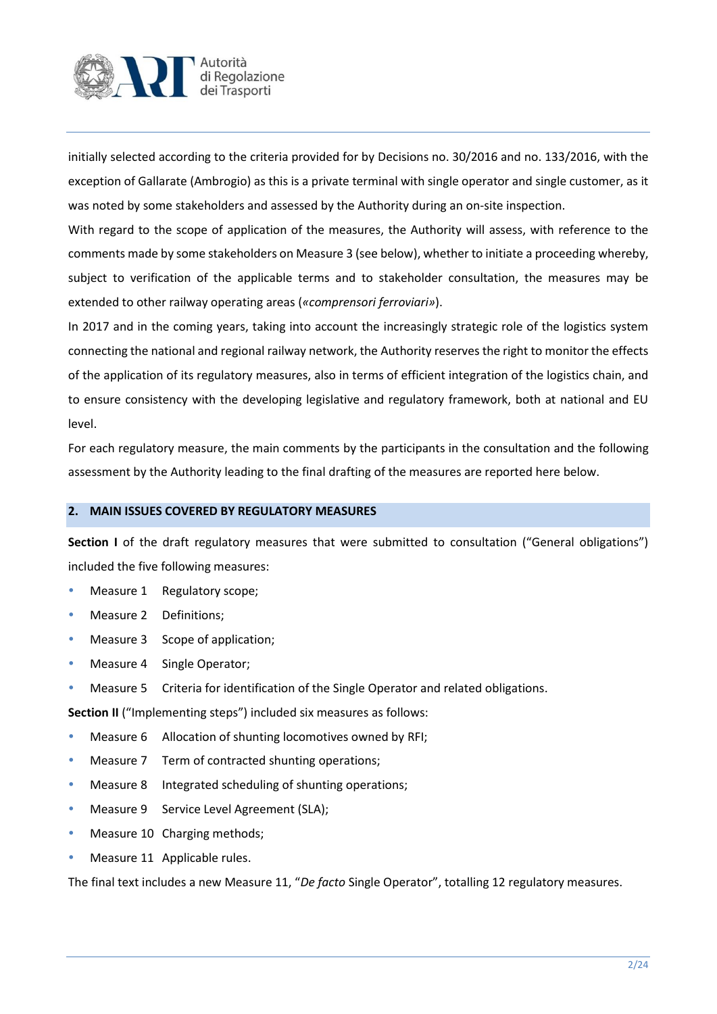

initially selected according to the criteria provided for by Decisions no. 30/2016 and no. 133/2016, with the exception of Gallarate (Ambrogio) as this is a private terminal with single operator and single customer, as it was noted by some stakeholders and assessed by the Authority during an on-site inspection.

With regard to the scope of application of the measures, the Authority will assess, with reference to the comments made by some stakeholders on Measure 3 (see below), whether to initiate a proceeding whereby, subject to verification of the applicable terms and to stakeholder consultation, the measures may be extended to other railway operating areas (*«comprensori ferroviari»*).

In 2017 and in the coming years, taking into account the increasingly strategic role of the logistics system connecting the national and regional railway network, the Authority reserves the right to monitor the effects of the application of its regulatory measures, also in terms of efficient integration of the logistics chain, and to ensure consistency with the developing legislative and regulatory framework, both at national and EU level.

For each regulatory measure, the main comments by the participants in the consultation and the following assessment by the Authority leading to the final drafting of the measures are reported here below.

#### **2. MAIN ISSUES COVERED BY REGULATORY MEASURES**

**Section I** of the draft regulatory measures that were submitted to consultation ("General obligations") included the five following measures:

- Measure 1 Regulatory scope;
- Measure 2 Definitions;
- Measure 3 Scope of application;
- Measure 4 Single Operator;
- **Measure 5 Criteria for identification of the Single Operator and related obligations.**

**Section II** ("Implementing steps") included six measures as follows:

- Measure 6 Allocation of shunting locomotives owned by RFI;
- Measure 7 Term of contracted shunting operations;
- Measure 8 Integrated scheduling of shunting operations;
- Measure 9 Service Level Agreement (SLA);
- Measure 10 Charging methods;
- Measure 11 Applicable rules.

The final text includes a new Measure 11, "*De facto* Single Operator", totalling 12 regulatory measures.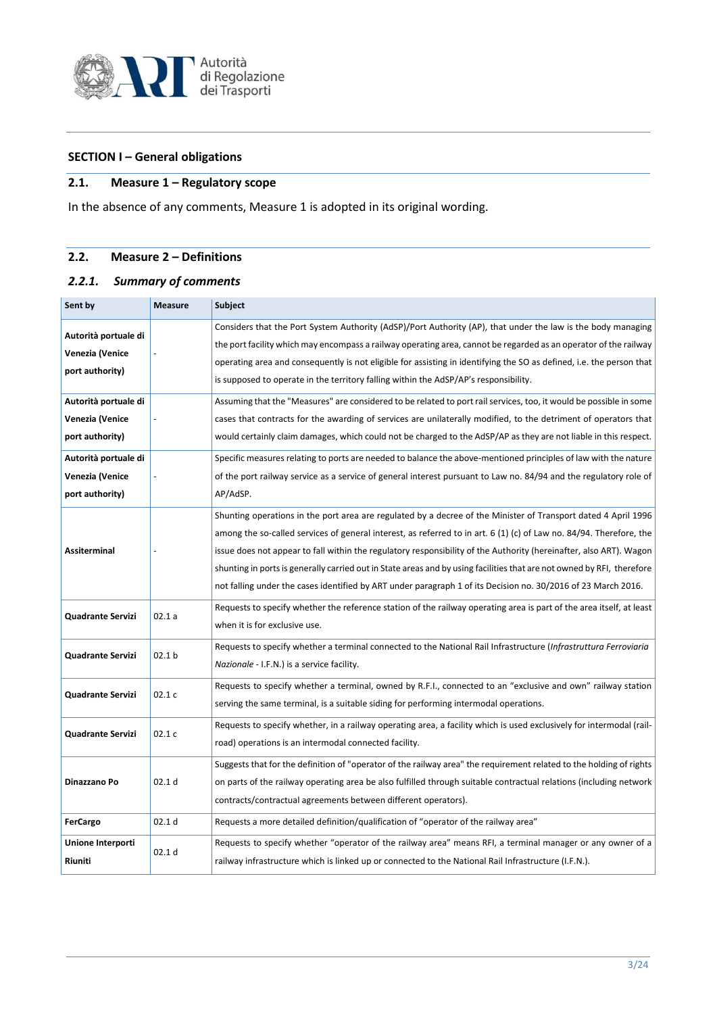

## **SECTION I – General obligations**

## **2.1. Measure 1 – Regulatory scope**

In the absence of any comments, Measure 1 is adopted in its original wording.

## **2.2. Measure 2 – Definitions**

#### *2.2.1. Summary of comments*

| Sent by                                                    | <b>Measure</b>    | <b>Subject</b>                                                                                                                                                                                                                                                                                                                                                                                                                                                                                                                                                                                         |
|------------------------------------------------------------|-------------------|--------------------------------------------------------------------------------------------------------------------------------------------------------------------------------------------------------------------------------------------------------------------------------------------------------------------------------------------------------------------------------------------------------------------------------------------------------------------------------------------------------------------------------------------------------------------------------------------------------|
| Autorità portuale di<br>Venezia (Venice<br>port authority) |                   | Considers that the Port System Authority (AdSP)/Port Authority (AP), that under the law is the body managing<br>the port facility which may encompass a railway operating area, cannot be regarded as an operator of the railway<br>operating area and consequently is not eligible for assisting in identifying the SO as defined, i.e. the person that<br>is supposed to operate in the territory falling within the AdSP/AP's responsibility.                                                                                                                                                       |
| Autorità portuale di<br>Venezia (Venice<br>port authority) |                   | Assuming that the "Measures" are considered to be related to port rail services, too, it would be possible in some<br>cases that contracts for the awarding of services are unilaterally modified, to the detriment of operators that<br>would certainly claim damages, which could not be charged to the AdSP/AP as they are not liable in this respect.                                                                                                                                                                                                                                              |
| Autorità portuale di<br>Venezia (Venice<br>port authority) |                   | Specific measures relating to ports are needed to balance the above-mentioned principles of law with the nature<br>of the port railway service as a service of general interest pursuant to Law no. 84/94 and the regulatory role of<br>AP/AdSP.                                                                                                                                                                                                                                                                                                                                                       |
| <b>Assiterminal</b>                                        |                   | Shunting operations in the port area are regulated by a decree of the Minister of Transport dated 4 April 1996<br>among the so-called services of general interest, as referred to in art. $6(1)(c)$ of Law no. 84/94. Therefore, the<br>issue does not appear to fall within the regulatory responsibility of the Authority (hereinafter, also ART). Wagon<br>shunting in ports is generally carried out in State areas and by using facilities that are not owned by RFI, therefore<br>not falling under the cases identified by ART under paragraph 1 of its Decision no. 30/2016 of 23 March 2016. |
| Quadrante Servizi                                          | 02.1a             | Requests to specify whether the reference station of the railway operating area is part of the area itself, at least<br>when it is for exclusive use.                                                                                                                                                                                                                                                                                                                                                                                                                                                  |
| Quadrante Servizi                                          | 02.1 <sub>b</sub> | Requests to specify whether a terminal connected to the National Rail Infrastructure (Infrastruttura Ferroviaria<br>Nazionale - I.F.N.) is a service facility.                                                                                                                                                                                                                                                                                                                                                                                                                                         |
| Quadrante Servizi                                          | 02.1c             | Requests to specify whether a terminal, owned by R.F.I., connected to an "exclusive and own" railway station<br>serving the same terminal, is a suitable siding for performing intermodal operations.                                                                                                                                                                                                                                                                                                                                                                                                  |
| Quadrante Servizi                                          | 02.1c             | Requests to specify whether, in a railway operating area, a facility which is used exclusively for intermodal (rail-<br>road) operations is an intermodal connected facility.                                                                                                                                                                                                                                                                                                                                                                                                                          |
| Dinazzano Po                                               | 02.1 <sub>d</sub> | Suggests that for the definition of "operator of the railway area" the requirement related to the holding of rights<br>on parts of the railway operating area be also fulfilled through suitable contractual relations (including network<br>contracts/contractual agreements between different operators).                                                                                                                                                                                                                                                                                            |
| FerCargo                                                   | 02.1 <sub>d</sub> | Requests a more detailed definition/qualification of "operator of the railway area"                                                                                                                                                                                                                                                                                                                                                                                                                                                                                                                    |
| Unione Interporti<br>Riuniti                               | 02.1 <sub>d</sub> | Requests to specify whether "operator of the railway area" means RFI, a terminal manager or any owner of a<br>railway infrastructure which is linked up or connected to the National Rail Infrastructure (I.F.N.).                                                                                                                                                                                                                                                                                                                                                                                     |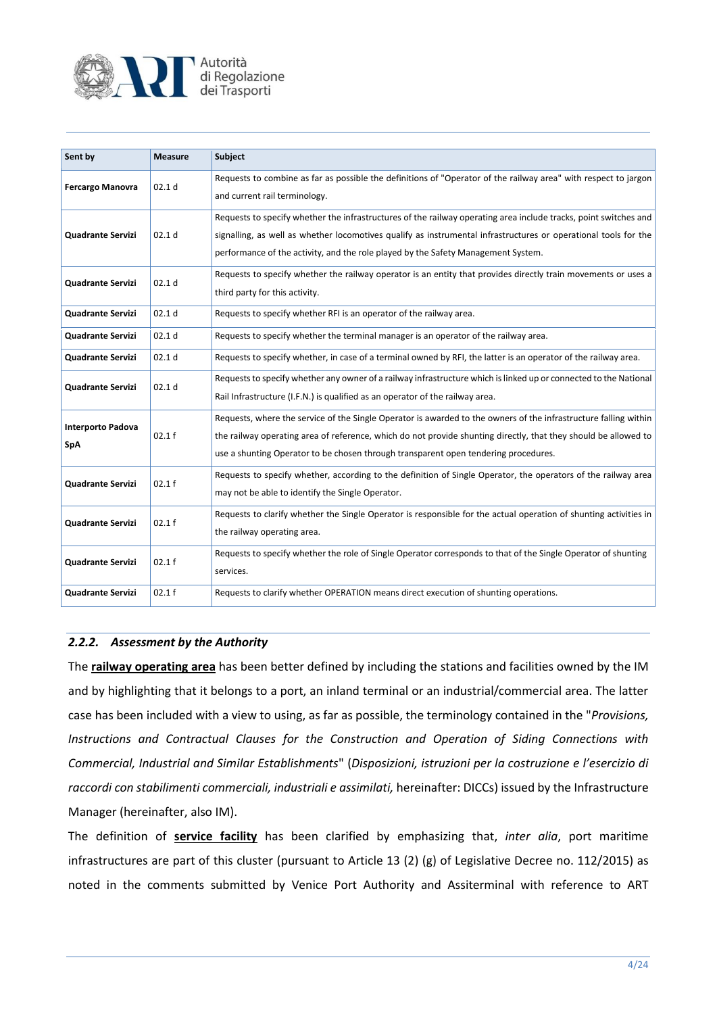

| Sent by                                | <b>Measure</b>    | Subject                                                                                                                                                                                                                                                                                                                    |
|----------------------------------------|-------------------|----------------------------------------------------------------------------------------------------------------------------------------------------------------------------------------------------------------------------------------------------------------------------------------------------------------------------|
| <b>Fercargo Manovra</b>                | 02.1 <sub>d</sub> | Requests to combine as far as possible the definitions of "Operator of the railway area" with respect to jargon<br>and current rail terminology.                                                                                                                                                                           |
| Quadrante Servizi                      | 02.1 <sub>d</sub> | Requests to specify whether the infrastructures of the railway operating area include tracks, point switches and<br>signalling, as well as whether locomotives qualify as instrumental infrastructures or operational tools for the<br>performance of the activity, and the role played by the Safety Management System.   |
| <b>Quadrante Servizi</b>               | 02.1 <sub>d</sub> | Requests to specify whether the railway operator is an entity that provides directly train movements or uses a<br>third party for this activity.                                                                                                                                                                           |
| <b>Quadrante Servizi</b>               | 02.1 <sub>d</sub> | Requests to specify whether RFI is an operator of the railway area.                                                                                                                                                                                                                                                        |
| Quadrante Servizi                      | 02.1 <sub>d</sub> | Requests to specify whether the terminal manager is an operator of the railway area.                                                                                                                                                                                                                                       |
| Quadrante Servizi                      | 02.1 d            | Requests to specify whether, in case of a terminal owned by RFI, the latter is an operator of the railway area.                                                                                                                                                                                                            |
| <b>Quadrante Servizi</b>               | 02.1 <sub>d</sub> | Requests to specify whether any owner of a railway infrastructure which is linked up or connected to the National<br>Rail Infrastructure (I.F.N.) is qualified as an operator of the railway area.                                                                                                                         |
| <b>Interporto Padova</b><br><b>SpA</b> | 02.1 f            | Requests, where the service of the Single Operator is awarded to the owners of the infrastructure falling within<br>the railway operating area of reference, which do not provide shunting directly, that they should be allowed to<br>use a shunting Operator to be chosen through transparent open tendering procedures. |
| <b>Quadrante Servizi</b>               | 02.1 f            | Requests to specify whether, according to the definition of Single Operator, the operators of the railway area<br>may not be able to identify the Single Operator.                                                                                                                                                         |
| <b>Quadrante Servizi</b>               | 02.1 f            | Requests to clarify whether the Single Operator is responsible for the actual operation of shunting activities in<br>the railway operating area.                                                                                                                                                                           |
| <b>Quadrante Servizi</b>               | 02.1 f            | Requests to specify whether the role of Single Operator corresponds to that of the Single Operator of shunting<br>services.                                                                                                                                                                                                |
| <b>Quadrante Servizi</b>               | 02.1 f            | Requests to clarify whether OPERATION means direct execution of shunting operations.                                                                                                                                                                                                                                       |

## *2.2.2. Assessment by the Authority*

The **railway operating area** has been better defined by including the stations and facilities owned by the IM and by highlighting that it belongs to a port, an inland terminal or an industrial/commercial area. The latter case has been included with a view to using, as far as possible, the terminology contained in the "*Provisions, Instructions and Contractual Clauses for the Construction and Operation of Siding Connections with Commercial, Industrial and Similar Establishments*" (*Disposizioni, istruzioni per la costruzione e l'esercizio di raccordi con stabilimenti commerciali, industriali e assimilati,* hereinafter: DICCs) issued by the Infrastructure Manager (hereinafter, also IM).

The definition of **service facility** has been clarified by emphasizing that, *inter alia*, port maritime infrastructures are part of this cluster (pursuant to Article 13 (2) (g) of Legislative Decree no. 112/2015) as noted in the comments submitted by Venice Port Authority and Assiterminal with reference to ART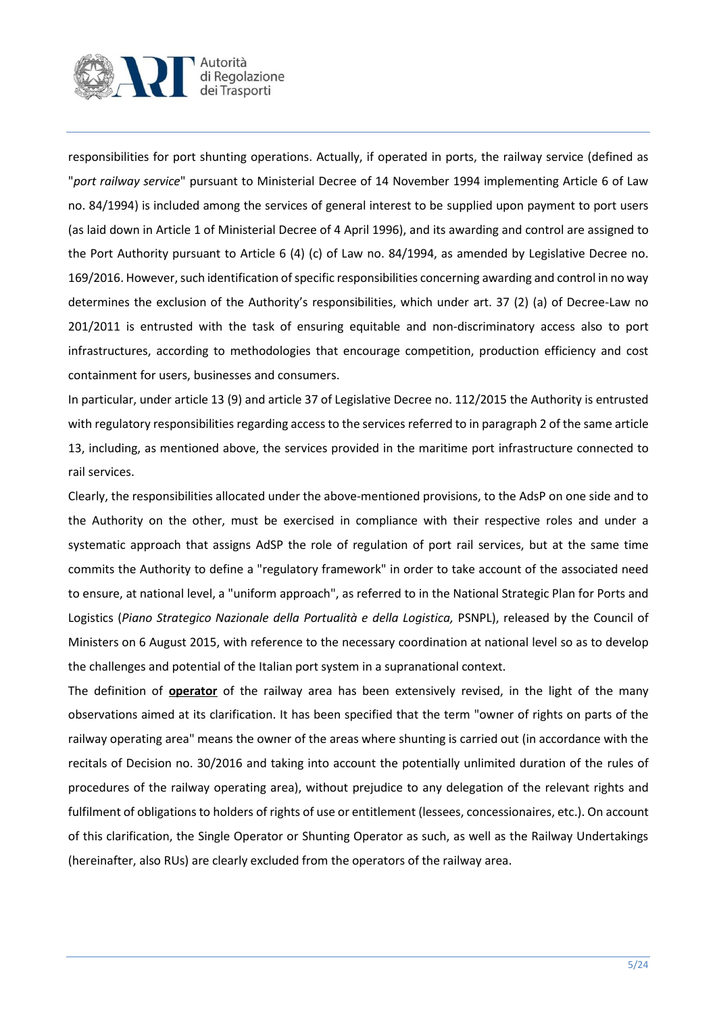

responsibilities for port shunting operations. Actually, if operated in ports, the railway service (defined as "*port railway service*" pursuant to Ministerial Decree of 14 November 1994 implementing Article 6 of Law no. 84/1994) is included among the services of general interest to be supplied upon payment to port users (as laid down in Article 1 of Ministerial Decree of 4 April 1996), and its awarding and control are assigned to the Port Authority pursuant to Article 6 (4) (c) of Law no. 84/1994, as amended by Legislative Decree no. 169/2016. However, such identification of specific responsibilities concerning awarding and control in no way determines the exclusion of the Authority's responsibilities, which under art. 37 (2) (a) of Decree-Law no 201/2011 is entrusted with the task of ensuring equitable and non-discriminatory access also to port infrastructures, according to methodologies that encourage competition, production efficiency and cost containment for users, businesses and consumers.

In particular, under article 13 (9) and article 37 of Legislative Decree no. 112/2015 the Authority is entrusted with regulatory responsibilities regarding access to the services referred to in paragraph 2 of the same article 13, including, as mentioned above, the services provided in the maritime port infrastructure connected to rail services.

Clearly, the responsibilities allocated under the above-mentioned provisions, to the AdsP on one side and to the Authority on the other, must be exercised in compliance with their respective roles and under a systematic approach that assigns AdSP the role of regulation of port rail services, but at the same time commits the Authority to define a "regulatory framework" in order to take account of the associated need to ensure, at national level, a "uniform approach", as referred to in the National Strategic Plan for Ports and Logistics (Piano Strategico Nazionale della Portualità e della Logistica, PSNPL), released by the Council of Ministers on 6 August 2015, with reference to the necessary coordination at national level so as to develop the challenges and potential of the Italian port system in a supranational context.

The definition of **operator** of the railway area has been extensively revised, in the light of the many observations aimed at its clarification. It has been specified that the term "owner of rights on parts of the railway operating area" means the owner of the areas where shunting is carried out (in accordance with the recitals of Decision no. 30/2016 and taking into account the potentially unlimited duration of the rules of procedures of the railway operating area), without prejudice to any delegation of the relevant rights and fulfilment of obligations to holders of rights of use or entitlement (lessees, concessionaires, etc.). On account of this clarification, the Single Operator or Shunting Operator as such, as well as the Railway Undertakings (hereinafter, also RUs) are clearly excluded from the operators of the railway area.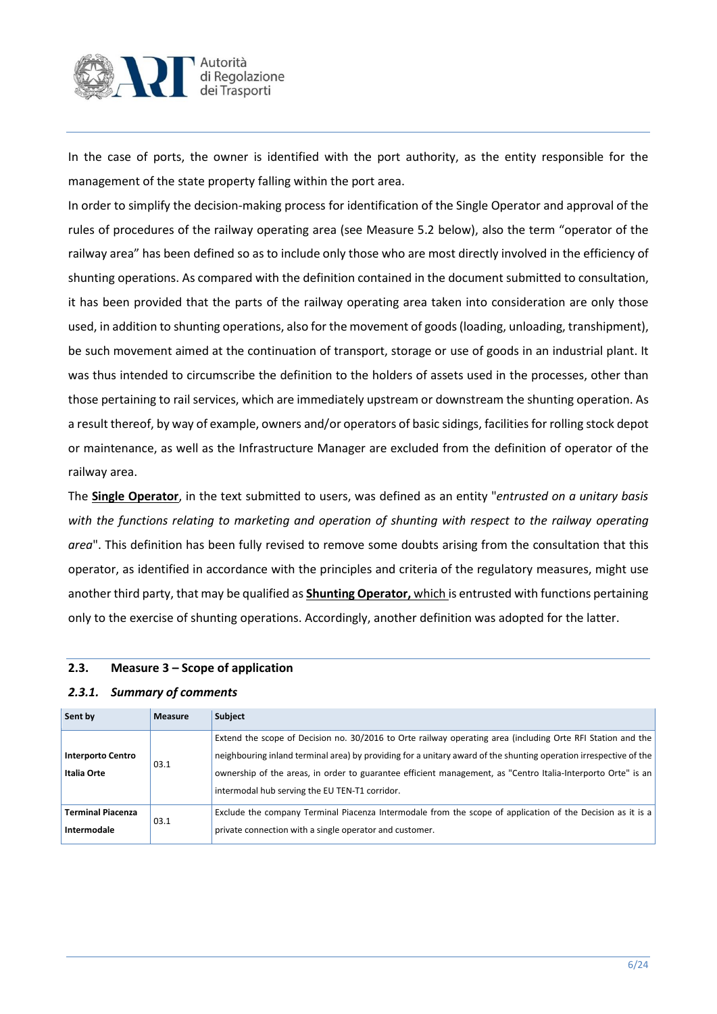

In the case of ports, the owner is identified with the port authority, as the entity responsible for the management of the state property falling within the port area.

In order to simplify the decision-making process for identification of the Single Operator and approval of the rules of procedures of the railway operating area (see Measure 5.2 below), also the term "operator of the railway area" has been defined so as to include only those who are most directly involved in the efficiency of shunting operations. As compared with the definition contained in the document submitted to consultation, it has been provided that the parts of the railway operating area taken into consideration are only those used, in addition to shunting operations, also for the movement of goods (loading, unloading, transhipment), be such movement aimed at the continuation of transport, storage or use of goods in an industrial plant. It was thus intended to circumscribe the definition to the holders of assets used in the processes, other than those pertaining to rail services, which are immediately upstream or downstream the shunting operation. As a result thereof, by way of example, owners and/or operators of basic sidings, facilities for rolling stock depot or maintenance, as well as the Infrastructure Manager are excluded from the definition of operator of the railway area.

The **Single Operator**, in the text submitted to users, was defined as an entity "*entrusted on a unitary basis with the functions relating to marketing and operation of shunting with respect to the railway operating area*". This definition has been fully revised to remove some doubts arising from the consultation that this operator, as identified in accordance with the principles and criteria of the regulatory measures, might use another third party, that may be qualified as **Shunting Operator,** which is entrusted with functions pertaining only to the exercise of shunting operations. Accordingly, another definition was adopted for the latter.

| z.J.I. Juliniuly Of Comments            |                |                                                                                                                                                                                                                                                                                                                                                                                                    |
|-----------------------------------------|----------------|----------------------------------------------------------------------------------------------------------------------------------------------------------------------------------------------------------------------------------------------------------------------------------------------------------------------------------------------------------------------------------------------------|
| Sent by                                 | <b>Measure</b> | Subject                                                                                                                                                                                                                                                                                                                                                                                            |
| <b>Interporto Centro</b><br>Italia Orte | 03.1           | Extend the scope of Decision no. 30/2016 to Orte railway operating area (including Orte RFI Station and the<br>neighbouring inland terminal area) by providing for a unitary award of the shunting operation irrespective of the<br>ownership of the areas, in order to guarantee efficient management, as "Centro Italia-Interporto Orte" is an<br>intermodal hub serving the EU TEN-T1 corridor. |
| <b>Terminal Piacenza</b><br>Intermodale | 03.1           | Exclude the company Terminal Piacenza Intermodale from the scope of application of the Decision as it is a<br>private connection with a single operator and customer.                                                                                                                                                                                                                              |

## **2.3. Measure 3 – Scope of application**

#### *2.3.1. Summary of comments*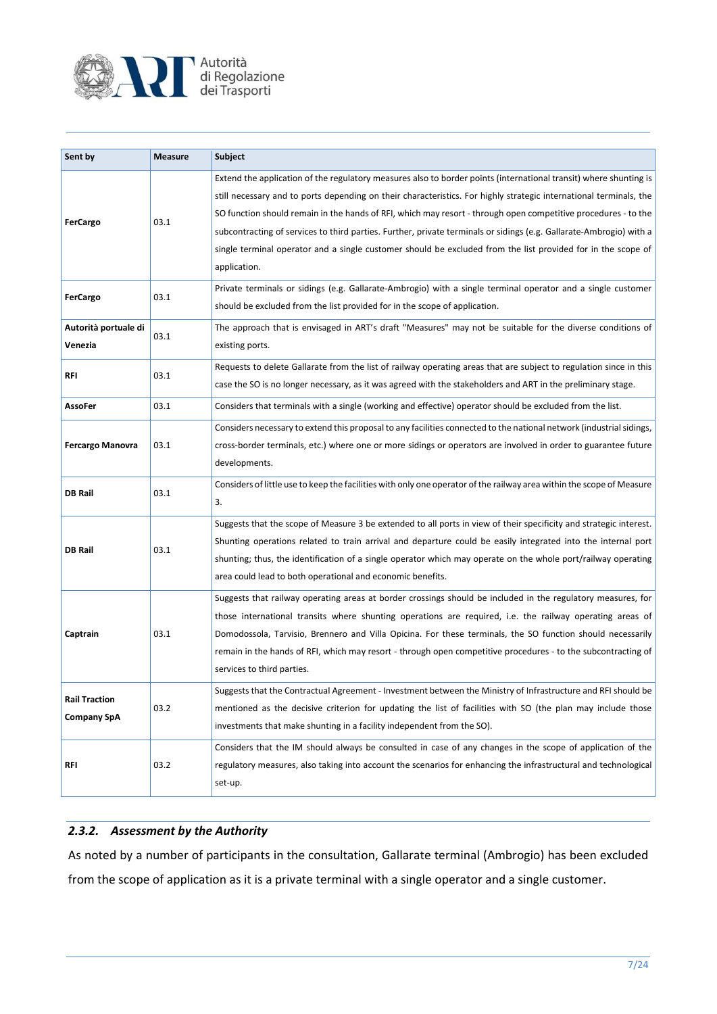

| Sent by                             | <b>Measure</b> | Subject                                                                                                                                                                                                                                                                                                                                                                                                                                                                                                                                                                                                          |
|-------------------------------------|----------------|------------------------------------------------------------------------------------------------------------------------------------------------------------------------------------------------------------------------------------------------------------------------------------------------------------------------------------------------------------------------------------------------------------------------------------------------------------------------------------------------------------------------------------------------------------------------------------------------------------------|
| <b>FerCargo</b>                     | 03.1           | Extend the application of the regulatory measures also to border points (international transit) where shunting is<br>still necessary and to ports depending on their characteristics. For highly strategic international terminals, the<br>SO function should remain in the hands of RFI, which may resort - through open competitive procedures - to the<br>subcontracting of services to third parties. Further, private terminals or sidings (e.g. Gallarate-Ambrogio) with a<br>single terminal operator and a single customer should be excluded from the list provided for in the scope of<br>application. |
| <b>FerCargo</b>                     | 03.1           | Private terminals or sidings (e.g. Gallarate-Ambrogio) with a single terminal operator and a single customer<br>should be excluded from the list provided for in the scope of application.                                                                                                                                                                                                                                                                                                                                                                                                                       |
| Autorità portuale di<br>Venezia     | 03.1           | The approach that is envisaged in ART's draft "Measures" may not be suitable for the diverse conditions of<br>existing ports.                                                                                                                                                                                                                                                                                                                                                                                                                                                                                    |
| RFI                                 | 03.1           | Requests to delete Gallarate from the list of railway operating areas that are subject to regulation since in this<br>case the SO is no longer necessary, as it was agreed with the stakeholders and ART in the preliminary stage.                                                                                                                                                                                                                                                                                                                                                                               |
| <b>AssoFer</b>                      | 03.1           | Considers that terminals with a single (working and effective) operator should be excluded from the list.                                                                                                                                                                                                                                                                                                                                                                                                                                                                                                        |
| <b>Fercargo Manovra</b>             | 03.1           | Considers necessary to extend this proposal to any facilities connected to the national network (industrial sidings,<br>cross-border terminals, etc.) where one or more sidings or operators are involved in order to guarantee future<br>developments.                                                                                                                                                                                                                                                                                                                                                          |
| <b>DB Rail</b>                      | 03.1           | Considers of little use to keep the facilities with only one operator of the railway area within the scope of Measure<br>3.                                                                                                                                                                                                                                                                                                                                                                                                                                                                                      |
| <b>DB Rail</b>                      | 03.1           | Suggests that the scope of Measure 3 be extended to all ports in view of their specificity and strategic interest.<br>Shunting operations related to train arrival and departure could be easily integrated into the internal port<br>shunting; thus, the identification of a single operator which may operate on the whole port/railway operating<br>area could lead to both operational and economic benefits.                                                                                                                                                                                                |
| Captrain                            | 03.1           | Suggests that railway operating areas at border crossings should be included in the regulatory measures, for<br>those international transits where shunting operations are required, i.e. the railway operating areas of<br>Domodossola, Tarvisio, Brennero and Villa Opicina. For these terminals, the SO function should necessarily<br>remain in the hands of RFI, which may resort - through open competitive procedures - to the subcontracting of<br>services to third parties.                                                                                                                            |
| <b>Rail Traction</b><br>Company SpA | 03.2           | Suggests that the Contractual Agreement - Investment between the Ministry of Infrastructure and RFI should be<br>mentioned as the decisive criterion for updating the list of facilities with SO (the plan may include those<br>investments that make shunting in a facility independent from the SO).                                                                                                                                                                                                                                                                                                           |
| RFI                                 | 03.2           | Considers that the IM should always be consulted in case of any changes in the scope of application of the<br>regulatory measures, also taking into account the scenarios for enhancing the infrastructural and technological<br>set-up.                                                                                                                                                                                                                                                                                                                                                                         |

## *2.3.2. Assessment by the Authority*

As noted by a number of participants in the consultation, Gallarate terminal (Ambrogio) has been excluded from the scope of application as it is a private terminal with a single operator and a single customer.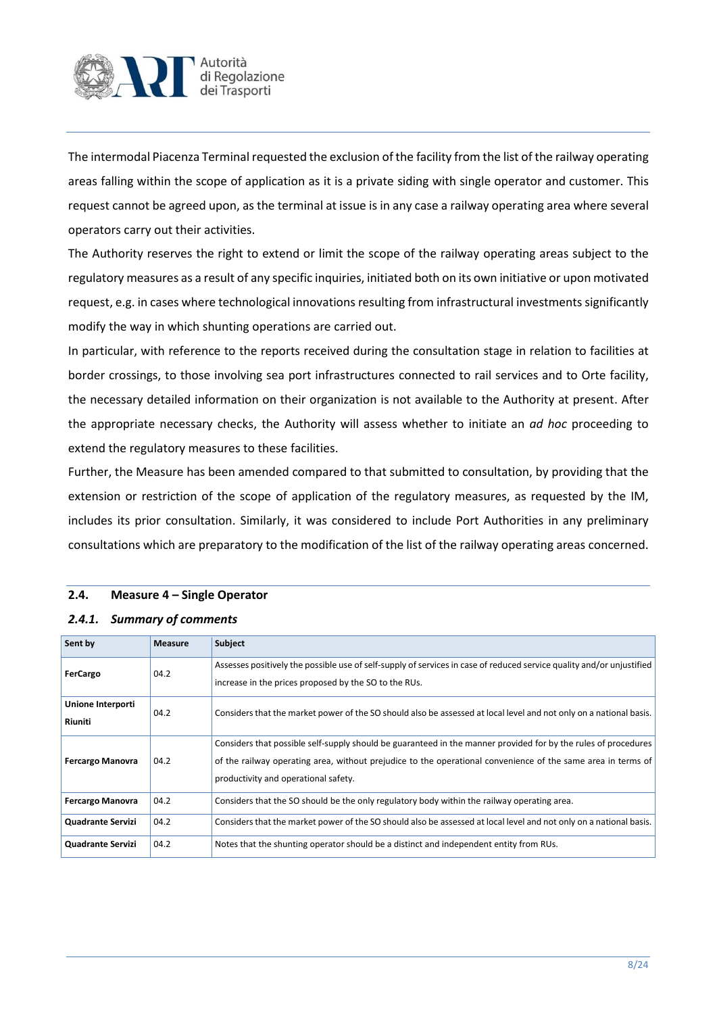

The intermodal Piacenza Terminal requested the exclusion of the facility from the list of the railway operating areas falling within the scope of application as it is a private siding with single operator and customer. This request cannot be agreed upon, as the terminal at issue is in any case a railway operating area where several operators carry out their activities.

The Authority reserves the right to extend or limit the scope of the railway operating areas subject to the regulatory measures as a result of any specific inquiries, initiated both on its own initiative or upon motivated request, e.g. in cases where technological innovations resulting from infrastructural investments significantly modify the way in which shunting operations are carried out.

In particular, with reference to the reports received during the consultation stage in relation to facilities at border crossings, to those involving sea port infrastructures connected to rail services and to Orte facility, the necessary detailed information on their organization is not available to the Authority at present. After the appropriate necessary checks, the Authority will assess whether to initiate an *ad hoc* proceeding to extend the regulatory measures to these facilities.

Further, the Measure has been amended compared to that submitted to consultation, by providing that the extension or restriction of the scope of application of the regulatory measures, as requested by the IM, includes its prior consultation. Similarly, it was considered to include Port Authorities in any preliminary consultations which are preparatory to the modification of the list of the railway operating areas concerned.

#### **2.4. Measure 4 – Single Operator**

| Sent by                  | <b>Measure</b> | <b>Subject</b>                                                                                                                                                                 |
|--------------------------|----------------|--------------------------------------------------------------------------------------------------------------------------------------------------------------------------------|
| <b>FerCargo</b>          | 04.2           | Assesses positively the possible use of self-supply of services in case of reduced service quality and/or unjustified<br>increase in the prices proposed by the SO to the RUs. |
|                          |                |                                                                                                                                                                                |
| Unione Interporti        | 04.2           | Considers that the market power of the SO should also be assessed at local level and not only on a national basis.                                                             |
| Riuniti                  |                |                                                                                                                                                                                |
|                          |                | Considers that possible self-supply should be guaranteed in the manner provided for by the rules of procedures                                                                 |
| <b>Fercargo Manovra</b>  | 04.2           | of the railway operating area, without prejudice to the operational convenience of the same area in terms of                                                                   |
|                          |                | productivity and operational safety.                                                                                                                                           |
| <b>Fercargo Manovra</b>  | 04.2           | Considers that the SO should be the only regulatory body within the railway operating area.                                                                                    |
| <b>Quadrante Servizi</b> | 04.2           | Considers that the market power of the SO should also be assessed at local level and not only on a national basis.                                                             |
| <b>Quadrante Servizi</b> | 04.2           | Notes that the shunting operator should be a distinct and independent entity from RUs.                                                                                         |

#### *2.4.1. Summary of comments*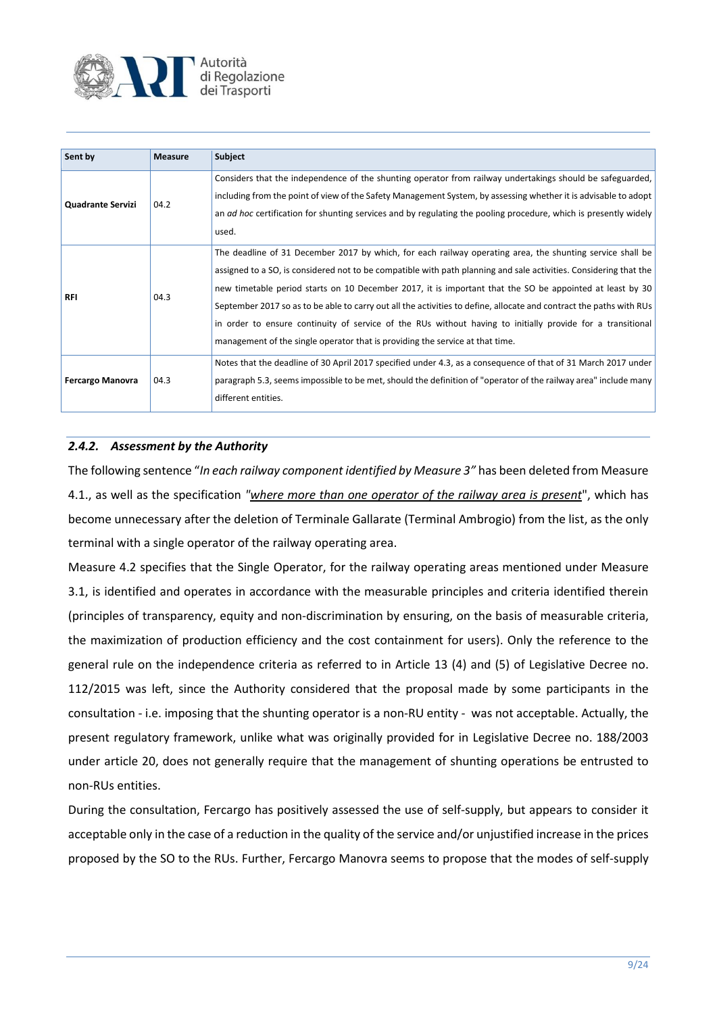

| Sent by                  | <b>Measure</b> | <b>Subject</b>                                                                                                                                                                                                                                                                                                                                                                                                                                                                                                                                                                                                                                                   |
|--------------------------|----------------|------------------------------------------------------------------------------------------------------------------------------------------------------------------------------------------------------------------------------------------------------------------------------------------------------------------------------------------------------------------------------------------------------------------------------------------------------------------------------------------------------------------------------------------------------------------------------------------------------------------------------------------------------------------|
| <b>Quadrante Servizi</b> | 04.2           | Considers that the independence of the shunting operator from railway undertakings should be safeguarded,<br>including from the point of view of the Safety Management System, by assessing whether it is advisable to adopt<br>an ad hoc certification for shunting services and by regulating the pooling procedure, which is presently widely<br>used.                                                                                                                                                                                                                                                                                                        |
| <b>RFI</b>               | 04.3           | The deadline of 31 December 2017 by which, for each railway operating area, the shunting service shall be<br>assigned to a SO, is considered not to be compatible with path planning and sale activities. Considering that the<br>new timetable period starts on 10 December 2017, it is important that the SO be appointed at least by 30<br>September 2017 so as to be able to carry out all the activities to define, allocate and contract the paths with RUs<br>in order to ensure continuity of service of the RUs without having to initially provide for a transitional<br>management of the single operator that is providing the service at that time. |
| <b>Fercargo Manovra</b>  | 04.3           | Notes that the deadline of 30 April 2017 specified under 4.3, as a consequence of that of 31 March 2017 under<br>paragraph 5.3, seems impossible to be met, should the definition of "operator of the railway area" include many<br>different entities.                                                                                                                                                                                                                                                                                                                                                                                                          |

## *2.4.2. Assessment by the Authority*

The following sentence "*In each railway component identified by Measure 3"* has been deleted from Measure 4.1., as well as the specification *"where more than one operator of the railway area is present*", which has become unnecessary after the deletion of Terminale Gallarate (Terminal Ambrogio) from the list, as the only terminal with a single operator of the railway operating area.

Measure 4.2 specifies that the Single Operator, for the railway operating areas mentioned under Measure 3.1, is identified and operates in accordance with the measurable principles and criteria identified therein (principles of transparency, equity and non-discrimination by ensuring, on the basis of measurable criteria, the maximization of production efficiency and the cost containment for users). Only the reference to the general rule on the independence criteria as referred to in Article 13 (4) and (5) of Legislative Decree no. 112/2015 was left, since the Authority considered that the proposal made by some participants in the consultation - i.e. imposing that the shunting operator is a non-RU entity - was not acceptable. Actually, the present regulatory framework, unlike what was originally provided for in Legislative Decree no. 188/2003 under article 20, does not generally require that the management of shunting operations be entrusted to non-RUs entities.

During the consultation, Fercargo has positively assessed the use of self-supply, but appears to consider it acceptable only in the case of a reduction in the quality of the service and/or unjustified increase in the prices proposed by the SO to the RUs. Further, Fercargo Manovra seems to propose that the modes of self-supply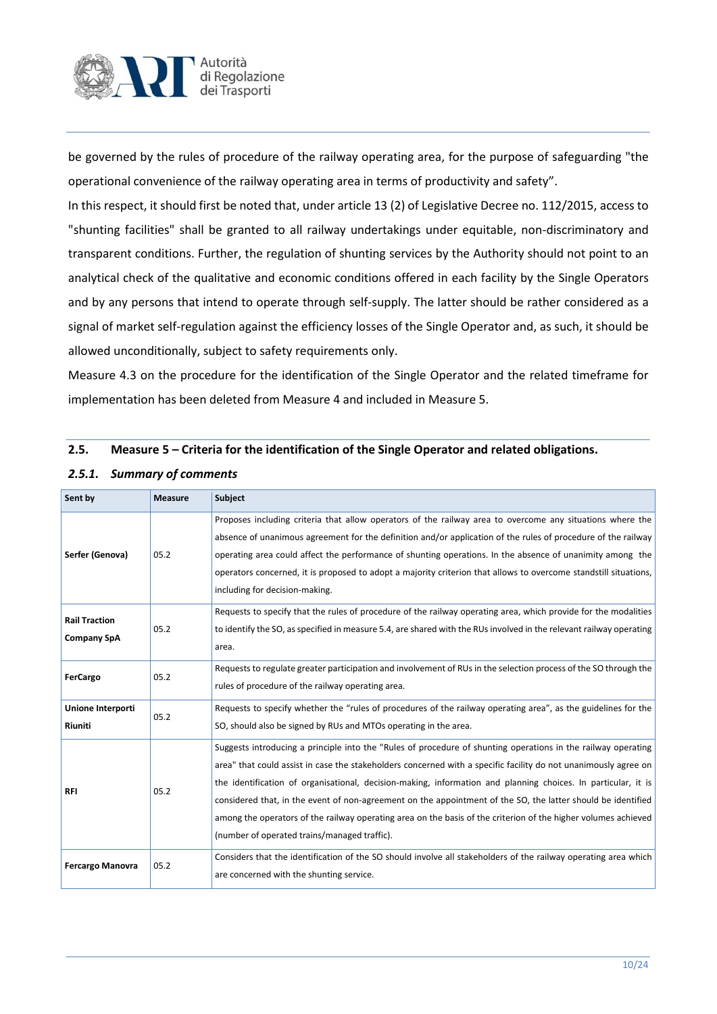

be governed by the rules of procedure of the railway operating area, for the purpose of safeguarding "the operational convenience of the railway operating area in terms of productivity and safety".

In this respect, it should first be noted that, under article 13 (2) of Legislative Decree no. 112/2015, access to "shunting facilities" shall be granted to all railway undertakings under equitable, non-discriminatory and transparent conditions. Further, the regulation of shunting services by the Authority should not point to an analytical check of the qualitative and economic conditions offered in each facility by the Single Operators and by any persons that intend to operate through self-supply. The latter should be rather considered as a signal of market self-regulation against the efficiency losses of the Single Operator and, as such, it should be allowed unconditionally, subject to safety requirements only.

Measure 4.3 on the procedure for the identification of the Single Operator and the related timeframe for implementation has been deleted from Measure 4 and included in Measure 5.

#### **2.5. Measure 5 – Criteria for the identification of the Single Operator and related obligations.**

| Sent by                                    | <b>Measure</b> | Subject                                                                                                                                                                                                                                                                                                                                                                                                                                                                                                                                                                                                                             |
|--------------------------------------------|----------------|-------------------------------------------------------------------------------------------------------------------------------------------------------------------------------------------------------------------------------------------------------------------------------------------------------------------------------------------------------------------------------------------------------------------------------------------------------------------------------------------------------------------------------------------------------------------------------------------------------------------------------------|
| Serfer (Genova)                            | 05.2           | Proposes including criteria that allow operators of the railway area to overcome any situations where the<br>absence of unanimous agreement for the definition and/or application of the rules of procedure of the railway<br>operating area could affect the performance of shunting operations. In the absence of unanimity among the<br>operators concerned, it is proposed to adopt a majority criterion that allows to overcome standstill situations,<br>including for decision-making.                                                                                                                                       |
| <b>Rail Traction</b><br><b>Company SpA</b> | 05.2           | Requests to specify that the rules of procedure of the railway operating area, which provide for the modalities<br>to identify the SO, as specified in measure 5.4, are shared with the RUs involved in the relevant railway operating<br>area.                                                                                                                                                                                                                                                                                                                                                                                     |
| FerCargo                                   | 05.2           | Requests to regulate greater participation and involvement of RUs in the selection process of the SO through the<br>rules of procedure of the railway operating area.                                                                                                                                                                                                                                                                                                                                                                                                                                                               |
| Unione Interporti<br>Riuniti               | 05.2           | Requests to specify whether the "rules of procedures of the railway operating area", as the guidelines for the<br>SO, should also be signed by RUs and MTOs operating in the area.                                                                                                                                                                                                                                                                                                                                                                                                                                                  |
| <b>RFI</b>                                 | 05.2           | Suggests introducing a principle into the "Rules of procedure of shunting operations in the railway operating<br>area" that could assist in case the stakeholders concerned with a specific facility do not unanimously agree on<br>the identification of organisational, decision-making, information and planning choices. In particular, it is<br>considered that, in the event of non-agreement on the appointment of the SO, the latter should be identified<br>among the operators of the railway operating area on the basis of the criterion of the higher volumes achieved<br>(number of operated trains/managed traffic). |
| <b>Fercargo Manovra</b>                    | 05.2           | Considers that the identification of the SO should involve all stakeholders of the railway operating area which<br>are concerned with the shunting service.                                                                                                                                                                                                                                                                                                                                                                                                                                                                         |

#### *2.5.1. Summary of comments*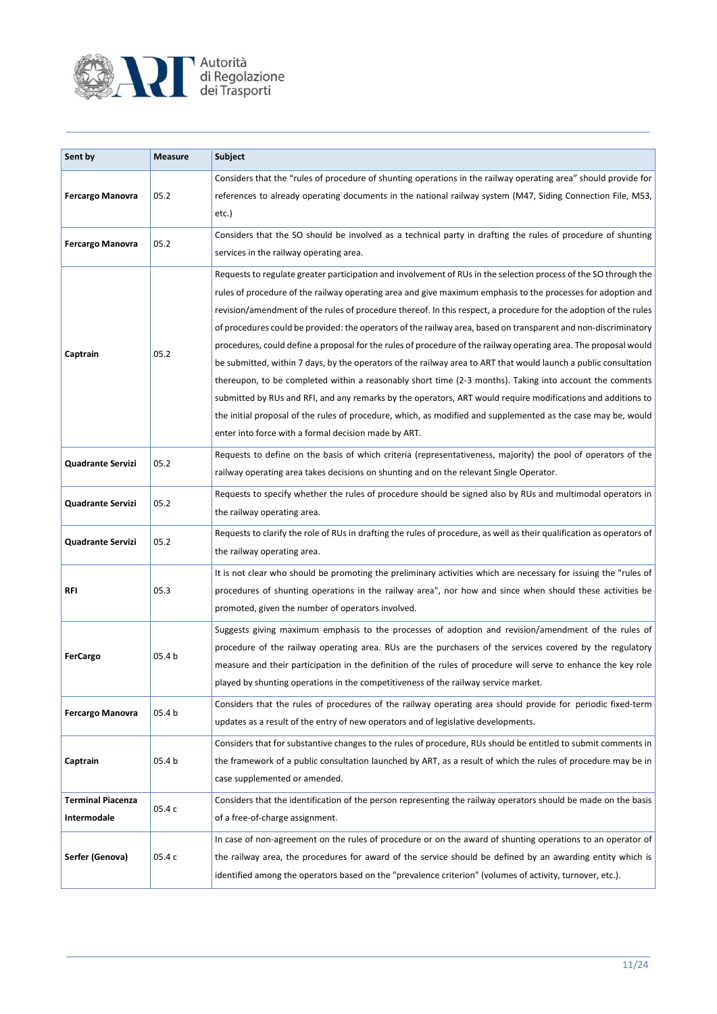

| Sent by                                 | <b>Measure</b> | Subject                                                                                                                                                                                                                                                                                                                                                                                                                                                                                                                                                                                                                                                                                                                                                                                                                                                                                                                                                                                                                                                                                                              |
|-----------------------------------------|----------------|----------------------------------------------------------------------------------------------------------------------------------------------------------------------------------------------------------------------------------------------------------------------------------------------------------------------------------------------------------------------------------------------------------------------------------------------------------------------------------------------------------------------------------------------------------------------------------------------------------------------------------------------------------------------------------------------------------------------------------------------------------------------------------------------------------------------------------------------------------------------------------------------------------------------------------------------------------------------------------------------------------------------------------------------------------------------------------------------------------------------|
| <b>Fercargo Manovra</b>                 | 05.2           | Considers that the "rules of procedure of shunting operations in the railway operating area" should provide for<br>references to already operating documents in the national railway system (M47, Siding Connection File, M53,<br>etc.)                                                                                                                                                                                                                                                                                                                                                                                                                                                                                                                                                                                                                                                                                                                                                                                                                                                                              |
| <b>Fercargo Manovra</b>                 | 05.2           | Considers that the SO should be involved as a technical party in drafting the rules of procedure of shunting<br>services in the railway operating area.                                                                                                                                                                                                                                                                                                                                                                                                                                                                                                                                                                                                                                                                                                                                                                                                                                                                                                                                                              |
| Captrain                                | 05.2           | Requests to regulate greater participation and involvement of RUs in the selection process of the SO through the<br>rules of procedure of the railway operating area and give maximum emphasis to the processes for adoption and<br>revision/amendment of the rules of procedure thereof. In this respect, a procedure for the adoption of the rules<br>of procedures could be provided: the operators of the railway area, based on transparent and non-discriminatory<br>procedures, could define a proposal for the rules of procedure of the railway operating area. The proposal would<br>be submitted, within 7 days, by the operators of the railway area to ART that would launch a public consultation<br>thereupon, to be completed within a reasonably short time (2-3 months). Taking into account the comments<br>submitted by RUs and RFI, and any remarks by the operators, ART would require modifications and additions to<br>the initial proposal of the rules of procedure, which, as modified and supplemented as the case may be, would<br>enter into force with a formal decision made by ART. |
| Quadrante Servizi                       | 05.2           | Requests to define on the basis of which criteria (representativeness, majority) the pool of operators of the<br>railway operating area takes decisions on shunting and on the relevant Single Operator.                                                                                                                                                                                                                                                                                                                                                                                                                                                                                                                                                                                                                                                                                                                                                                                                                                                                                                             |
| Quadrante Servizi                       | 05.2           | Requests to specify whether the rules of procedure should be signed also by RUs and multimodal operators in<br>the railway operating area.                                                                                                                                                                                                                                                                                                                                                                                                                                                                                                                                                                                                                                                                                                                                                                                                                                                                                                                                                                           |
| Quadrante Servizi                       | 05.2           | Requests to clarify the role of RUs in drafting the rules of procedure, as well as their qualification as operators of<br>the railway operating area.                                                                                                                                                                                                                                                                                                                                                                                                                                                                                                                                                                                                                                                                                                                                                                                                                                                                                                                                                                |
| RFI                                     | 05.3           | It is not clear who should be promoting the preliminary activities which are necessary for issuing the "rules of<br>procedures of shunting operations in the railway area", nor how and since when should these activities be<br>promoted, given the number of operators involved.                                                                                                                                                                                                                                                                                                                                                                                                                                                                                                                                                                                                                                                                                                                                                                                                                                   |
| <b>FerCargo</b>                         | 05.4 b         | Suggests giving maximum emphasis to the processes of adoption and revision/amendment of the rules of<br>procedure of the railway operating area. RUs are the purchasers of the services covered by the regulatory<br>measure and their participation in the definition of the rules of procedure will serve to enhance the key role<br>played by shunting operations in the competitiveness of the railway service market.                                                                                                                                                                                                                                                                                                                                                                                                                                                                                                                                                                                                                                                                                           |
| <b>Fercargo Manovra</b>                 | 05.4 b         | Considers that the rules of procedures of the railway operating area should provide for periodic fixed-term<br>updates as a result of the entry of new operators and of legislative developments.                                                                                                                                                                                                                                                                                                                                                                                                                                                                                                                                                                                                                                                                                                                                                                                                                                                                                                                    |
| Captrain                                | 05.4 b         | Considers that for substantive changes to the rules of procedure, RUs should be entitled to submit comments in<br>the framework of a public consultation launched by ART, as a result of which the rules of procedure may be in<br>case supplemented or amended.                                                                                                                                                                                                                                                                                                                                                                                                                                                                                                                                                                                                                                                                                                                                                                                                                                                     |
| <b>Terminal Piacenza</b><br>Intermodale | 05.4 c         | Considers that the identification of the person representing the railway operators should be made on the basis<br>of a free-of-charge assignment.                                                                                                                                                                                                                                                                                                                                                                                                                                                                                                                                                                                                                                                                                                                                                                                                                                                                                                                                                                    |
| Serfer (Genova)                         | 05.4 c         | In case of non-agreement on the rules of procedure or on the award of shunting operations to an operator of<br>the railway area, the procedures for award of the service should be defined by an awarding entity which is<br>identified among the operators based on the "prevalence criterion" (volumes of activity, turnover, etc.).                                                                                                                                                                                                                                                                                                                                                                                                                                                                                                                                                                                                                                                                                                                                                                               |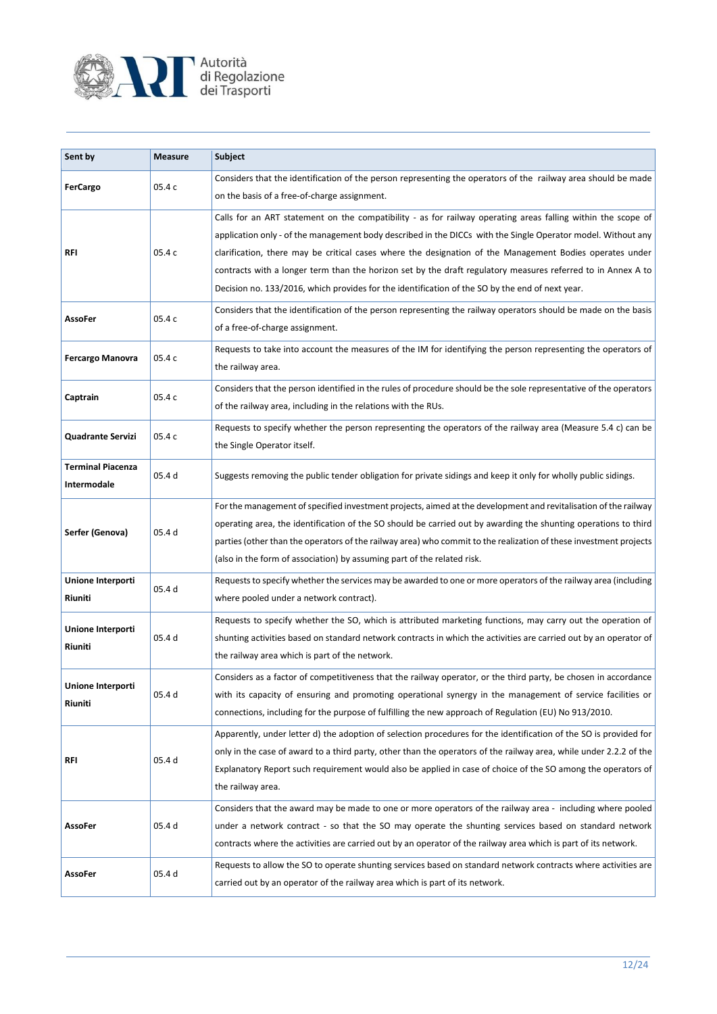

| Sent by                                 | <b>Measure</b> | Subject                                                                                                                                                                                                                                                                                                                                                                                                                                                                                                                                                     |
|-----------------------------------------|----------------|-------------------------------------------------------------------------------------------------------------------------------------------------------------------------------------------------------------------------------------------------------------------------------------------------------------------------------------------------------------------------------------------------------------------------------------------------------------------------------------------------------------------------------------------------------------|
| <b>FerCargo</b>                         | 05.4 c         | Considers that the identification of the person representing the operators of the railway area should be made<br>on the basis of a free-of-charge assignment.                                                                                                                                                                                                                                                                                                                                                                                               |
| RFI                                     | 05.4 c         | Calls for an ART statement on the compatibility - as for railway operating areas falling within the scope of<br>application only - of the management body described in the DICCs with the Single Operator model. Without any<br>clarification, there may be critical cases where the designation of the Management Bodies operates under<br>contracts with a longer term than the horizon set by the draft regulatory measures referred to in Annex A to<br>Decision no. 133/2016, which provides for the identification of the SO by the end of next year. |
| <b>AssoFer</b>                          | 05.4 c         | Considers that the identification of the person representing the railway operators should be made on the basis<br>of a free-of-charge assignment.                                                                                                                                                                                                                                                                                                                                                                                                           |
| <b>Fercargo Manovra</b>                 | 05.4 c         | Requests to take into account the measures of the IM for identifying the person representing the operators of<br>the railway area.                                                                                                                                                                                                                                                                                                                                                                                                                          |
| Captrain                                | 05.4 c         | Considers that the person identified in the rules of procedure should be the sole representative of the operators<br>of the railway area, including in the relations with the RUs.                                                                                                                                                                                                                                                                                                                                                                          |
| <b>Quadrante Servizi</b>                | 05.4 c         | Requests to specify whether the person representing the operators of the railway area (Measure 5.4 c) can be<br>the Single Operator itself.                                                                                                                                                                                                                                                                                                                                                                                                                 |
| <b>Terminal Piacenza</b><br>Intermodale | 05.4 d         | Suggests removing the public tender obligation for private sidings and keep it only for wholly public sidings.                                                                                                                                                                                                                                                                                                                                                                                                                                              |
| Serfer (Genova)                         | 05.4 d         | For the management of specified investment projects, aimed at the development and revitalisation of the railway<br>operating area, the identification of the SO should be carried out by awarding the shunting operations to third<br>parties (other than the operators of the railway area) who commit to the realization of these investment projects<br>(also in the form of association) by assuming part of the related risk.                                                                                                                          |
| Unione Interporti<br>Riuniti            | 05.4 d         | Requests to specify whether the services may be awarded to one or more operators of the railway area (including<br>where pooled under a network contract).                                                                                                                                                                                                                                                                                                                                                                                                  |
| Unione Interporti<br>Riuniti            | 05.4 d         | Requests to specify whether the SO, which is attributed marketing functions, may carry out the operation of<br>shunting activities based on standard network contracts in which the activities are carried out by an operator of<br>the railway area which is part of the network.                                                                                                                                                                                                                                                                          |
| Unione Interporti<br>Riuniti            | 05.4 d         | Considers as a factor of competitiveness that the railway operator, or the third party, be chosen in accordance<br>with its capacity of ensuring and promoting operational synergy in the management of service facilities or<br>connections, including for the purpose of fulfilling the new approach of Regulation (EU) No 913/2010.                                                                                                                                                                                                                      |
| <b>RFI</b>                              | 05.4 d         | Apparently, under letter d) the adoption of selection procedures for the identification of the SO is provided for<br>only in the case of award to a third party, other than the operators of the railway area, while under 2.2.2 of the<br>Explanatory Report such requirement would also be applied in case of choice of the SO among the operators of<br>the railway area.                                                                                                                                                                                |
| <b>AssoFer</b>                          | 05.4 d         | Considers that the award may be made to one or more operators of the railway area - including where pooled<br>under a network contract - so that the SO may operate the shunting services based on standard network<br>contracts where the activities are carried out by an operator of the railway area which is part of its network.                                                                                                                                                                                                                      |
| <b>AssoFer</b>                          | 05.4 d         | Requests to allow the SO to operate shunting services based on standard network contracts where activities are<br>carried out by an operator of the railway area which is part of its network.                                                                                                                                                                                                                                                                                                                                                              |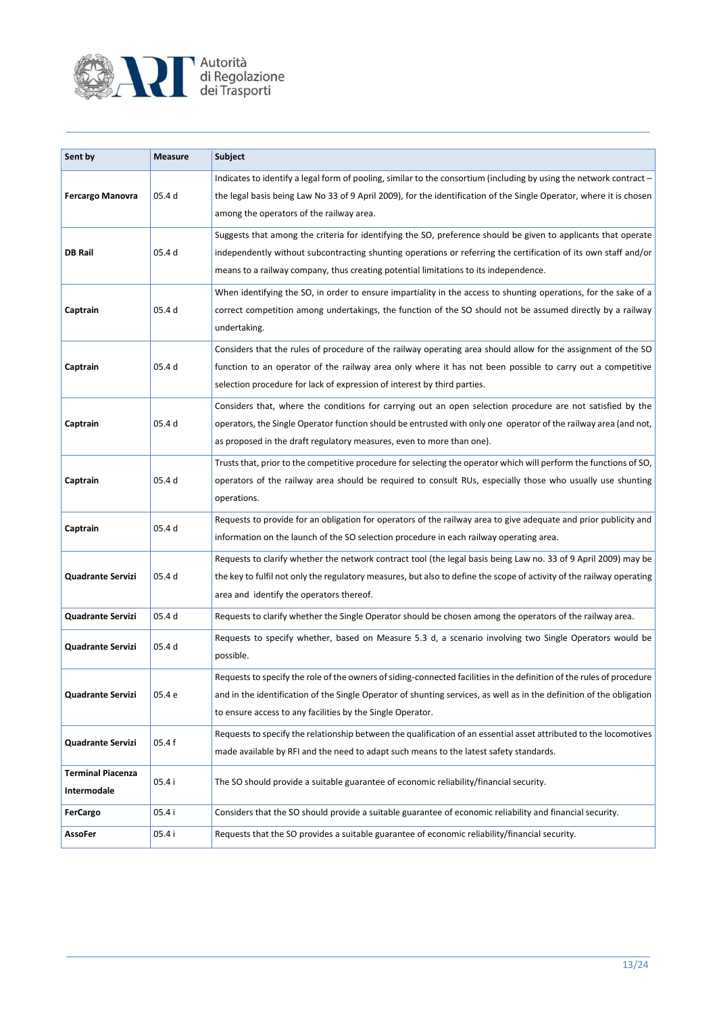

| Sent by                          | <b>Measure</b> | Subject                                                                                                                                                                                                                                                                                                                   |
|----------------------------------|----------------|---------------------------------------------------------------------------------------------------------------------------------------------------------------------------------------------------------------------------------------------------------------------------------------------------------------------------|
| <b>Fercargo Manovra</b>          | 05.4 d         | Indicates to identify a legal form of pooling, similar to the consortium (including by using the network contract -<br>the legal basis being Law No 33 of 9 April 2009), for the identification of the Single Operator, where it is chosen<br>among the operators of the railway area.                                    |
| <b>DB Rail</b>                   | 05.4 d         | Suggests that among the criteria for identifying the SO, preference should be given to applicants that operate<br>independently without subcontracting shunting operations or referring the certification of its own staff and/or<br>means to a railway company, thus creating potential limitations to its independence. |
| Captrain                         | 05.4 d         | When identifying the SO, in order to ensure impartiality in the access to shunting operations, for the sake of a<br>correct competition among undertakings, the function of the SO should not be assumed directly by a railway<br>undertaking.                                                                            |
| Captrain                         | 05.4 d         | Considers that the rules of procedure of the railway operating area should allow for the assignment of the SO<br>function to an operator of the railway area only where it has not been possible to carry out a competitive<br>selection procedure for lack of expression of interest by third parties.                   |
| Captrain                         | 05.4 d         | Considers that, where the conditions for carrying out an open selection procedure are not satisfied by the<br>operators, the Single Operator function should be entrusted with only one operator of the railway area (and not,<br>as proposed in the draft regulatory measures, even to more than one).                   |
| Captrain                         | 05.4 d         | Trusts that, prior to the competitive procedure for selecting the operator which will perform the functions of SO,<br>operators of the railway area should be required to consult RUs, especially those who usually use shunting<br>operations.                                                                           |
| Captrain                         | 05.4 d         | Requests to provide for an obligation for operators of the railway area to give adequate and prior publicity and<br>information on the launch of the SO selection procedure in each railway operating area.                                                                                                               |
| <b>Quadrante Servizi</b>         | 05.4 d         | Requests to clarify whether the network contract tool (the legal basis being Law no. 33 of 9 April 2009) may be<br>the key to fulfil not only the regulatory measures, but also to define the scope of activity of the railway operating<br>area and identify the operators thereof.                                      |
| Quadrante Servizi                | 05.4 d         | Requests to clarify whether the Single Operator should be chosen among the operators of the railway area.                                                                                                                                                                                                                 |
| <b>Quadrante Servizi</b>         | 05.4 d         | Requests to specify whether, based on Measure 5.3 d, a scenario involving two Single Operators would be<br>possible.                                                                                                                                                                                                      |
| Quadrante Servizi                | 05.4 e         | Requests to specify the role of the owners of siding-connected facilities in the definition of the rules of procedure<br>and in the identification of the Single Operator of shunting services, as well as in the definition of the obligation<br>to ensure access to any facilities by the Single Operator.              |
| Quadrante Servizi                | 05.4 f         | Requests to specify the relationship between the qualification of an essential asset attributed to the locomotives<br>made available by RFI and the need to adapt such means to the latest safety standards.                                                                                                              |
| Terminal Piacenza<br>Intermodale | 05.4 i         | The SO should provide a suitable guarantee of economic reliability/financial security.                                                                                                                                                                                                                                    |
| <b>FerCargo</b>                  | 05.4 i         | Considers that the SO should provide a suitable guarantee of economic reliability and financial security.                                                                                                                                                                                                                 |
| AssoFer                          | 05.4 i         | Requests that the SO provides a suitable guarantee of economic reliability/financial security.                                                                                                                                                                                                                            |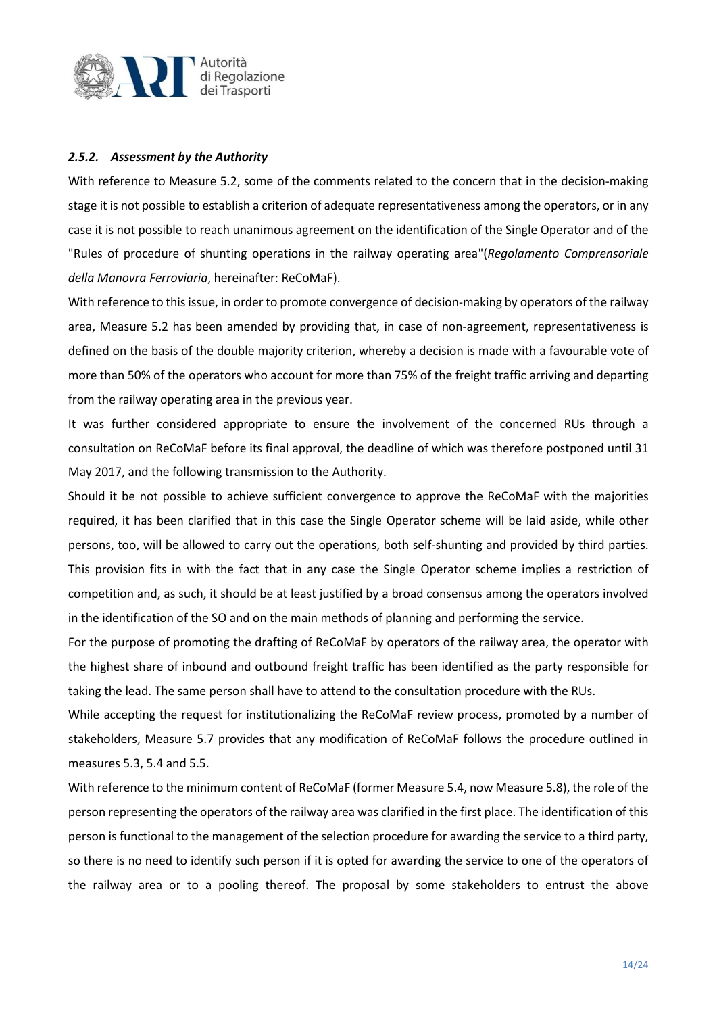

## *2.5.2. Assessment by the Authority*

With reference to Measure 5.2, some of the comments related to the concern that in the decision-making stage it is not possible to establish a criterion of adequate representativeness among the operators, or in any case it is not possible to reach unanimous agreement on the identification of the Single Operator and of the "Rules of procedure of shunting operations in the railway operating area"(*Regolamento Comprensoriale della Manovra Ferroviaria*, hereinafter: ReCoMaF).

With reference to this issue, in order to promote convergence of decision-making by operators of the railway area, Measure 5.2 has been amended by providing that, in case of non-agreement, representativeness is defined on the basis of the double majority criterion, whereby a decision is made with a favourable vote of more than 50% of the operators who account for more than 75% of the freight traffic arriving and departing from the railway operating area in the previous year.

It was further considered appropriate to ensure the involvement of the concerned RUs through a consultation on ReCoMaF before its final approval, the deadline of which was therefore postponed until 31 May 2017, and the following transmission to the Authority.

Should it be not possible to achieve sufficient convergence to approve the ReCoMaF with the majorities required, it has been clarified that in this case the Single Operator scheme will be laid aside, while other persons, too, will be allowed to carry out the operations, both self-shunting and provided by third parties. This provision fits in with the fact that in any case the Single Operator scheme implies a restriction of competition and, as such, it should be at least justified by a broad consensus among the operators involved in the identification of the SO and on the main methods of planning and performing the service.

For the purpose of promoting the drafting of ReCoMaF by operators of the railway area, the operator with the highest share of inbound and outbound freight traffic has been identified as the party responsible for taking the lead. The same person shall have to attend to the consultation procedure with the RUs.

While accepting the request for institutionalizing the ReCoMaF review process, promoted by a number of stakeholders, Measure 5.7 provides that any modification of ReCoMaF follows the procedure outlined in measures 5.3, 5.4 and 5.5.

With reference to the minimum content of ReCoMaF (former Measure 5.4, now Measure 5.8), the role of the person representing the operators of the railway area was clarified in the first place. The identification of this person is functional to the management of the selection procedure for awarding the service to a third party, so there is no need to identify such person if it is opted for awarding the service to one of the operators of the railway area or to a pooling thereof. The proposal by some stakeholders to entrust the above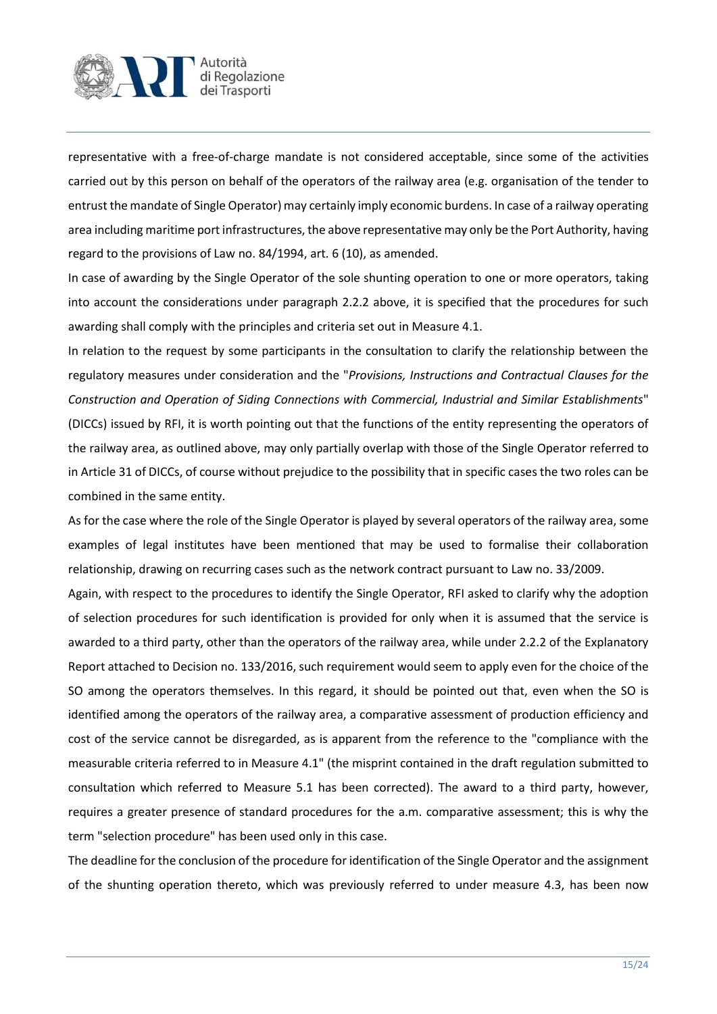

representative with a free-of-charge mandate is not considered acceptable, since some of the activities carried out by this person on behalf of the operators of the railway area (e.g. organisation of the tender to entrust the mandate of Single Operator) may certainly imply economic burdens. In case of a railway operating area including maritime port infrastructures, the above representative may only be the Port Authority, having regard to the provisions of Law no. 84/1994, art. 6 (10), as amended.

In case of awarding by the Single Operator of the sole shunting operation to one or more operators, taking into account the considerations under paragraph 2.2.2 above, it is specified that the procedures for such awarding shall comply with the principles and criteria set out in Measure 4.1.

In relation to the request by some participants in the consultation to clarify the relationship between the regulatory measures under consideration and the "*Provisions, Instructions and Contractual Clauses for the Construction and Operation of Siding Connections with Commercial, Industrial and Similar Establishments*" (DICCs) issued by RFI, it is worth pointing out that the functions of the entity representing the operators of the railway area, as outlined above, may only partially overlap with those of the Single Operator referred to in Article 31 of DICCs, of course without prejudice to the possibility that in specific cases the two roles can be combined in the same entity.

As for the case where the role of the Single Operator is played by several operators of the railway area, some examples of legal institutes have been mentioned that may be used to formalise their collaboration relationship, drawing on recurring cases such as the network contract pursuant to Law no. 33/2009.

Again, with respect to the procedures to identify the Single Operator, RFI asked to clarify why the adoption of selection procedures for such identification is provided for only when it is assumed that the service is awarded to a third party, other than the operators of the railway area, while under 2.2.2 of the Explanatory Report attached to Decision no. 133/2016, such requirement would seem to apply even for the choice of the SO among the operators themselves. In this regard, it should be pointed out that, even when the SO is identified among the operators of the railway area, a comparative assessment of production efficiency and cost of the service cannot be disregarded, as is apparent from the reference to the "compliance with the measurable criteria referred to in Measure 4.1" (the misprint contained in the draft regulation submitted to consultation which referred to Measure 5.1 has been corrected). The award to a third party, however, requires a greater presence of standard procedures for the a.m. comparative assessment; this is why the term "selection procedure" has been used only in this case.

The deadline for the conclusion of the procedure for identification of the Single Operator and the assignment of the shunting operation thereto, which was previously referred to under measure 4.3, has been now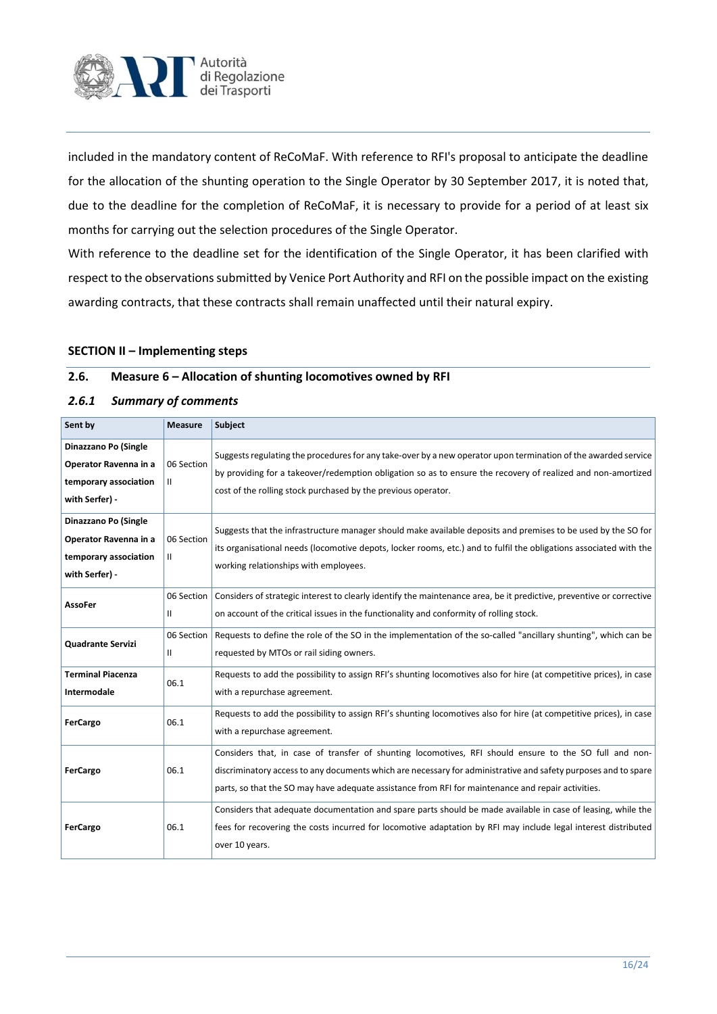

included in the mandatory content of ReCoMaF. With reference to RFI's proposal to anticipate the deadline for the allocation of the shunting operation to the Single Operator by 30 September 2017, it is noted that, due to the deadline for the completion of ReCoMaF, it is necessary to provide for a period of at least six months for carrying out the selection procedures of the Single Operator.

With reference to the deadline set for the identification of the Single Operator, it has been clarified with respect to the observations submitted by Venice Port Authority and RFI on the possible impact on the existing awarding contracts, that these contracts shall remain unaffected until their natural expiry.

#### **SECTION II – Implementing steps**

#### **2.6. Measure 6 – Allocation of shunting locomotives owned by RFI**

#### *2.6.1 Summary of comments*

| Sent by                                                                                  | <b>Measure</b>             | Subject                                                                                                                                                                                                                                                                                                                        |
|------------------------------------------------------------------------------------------|----------------------------|--------------------------------------------------------------------------------------------------------------------------------------------------------------------------------------------------------------------------------------------------------------------------------------------------------------------------------|
| Dinazzano Po (Single<br>Operator Ravenna in a<br>temporary association<br>with Serfer) - | 06 Section<br>Ш            | Suggests regulating the procedures for any take-over by a new operator upon termination of the awarded service<br>by providing for a takeover/redemption obligation so as to ensure the recovery of realized and non-amortized<br>cost of the rolling stock purchased by the previous operator.                                |
| Dinazzano Po (Single<br>Operator Ravenna in a<br>temporary association<br>with Serfer) - | 06 Section<br>Ш.           | Suggests that the infrastructure manager should make available deposits and premises to be used by the SO for<br>its organisational needs (locomotive depots, locker rooms, etc.) and to fulfil the obligations associated with the<br>working relationships with employees.                                                   |
| AssoFer                                                                                  | 06 Section<br>Ш            | Considers of strategic interest to clearly identify the maintenance area, be it predictive, preventive or corrective<br>on account of the critical issues in the functionality and conformity of rolling stock.                                                                                                                |
| <b>Quadrante Servizi</b>                                                                 | 06 Section<br>$\mathbf{I}$ | Requests to define the role of the SO in the implementation of the so-called "ancillary shunting", which can be<br>requested by MTOs or rail siding owners.                                                                                                                                                                    |
| <b>Terminal Piacenza</b><br>Intermodale                                                  | 06.1                       | Requests to add the possibility to assign RFI's shunting locomotives also for hire (at competitive prices), in case<br>with a repurchase agreement.                                                                                                                                                                            |
| <b>FerCargo</b>                                                                          | 06.1                       | Requests to add the possibility to assign RFI's shunting locomotives also for hire (at competitive prices), in case<br>with a repurchase agreement.                                                                                                                                                                            |
| FerCargo                                                                                 | 06.1                       | Considers that, in case of transfer of shunting locomotives, RFI should ensure to the SO full and non-<br>discriminatory access to any documents which are necessary for administrative and safety purposes and to spare<br>parts, so that the SO may have adequate assistance from RFI for maintenance and repair activities. |
| FerCargo                                                                                 | 06.1                       | Considers that adequate documentation and spare parts should be made available in case of leasing, while the<br>fees for recovering the costs incurred for locomotive adaptation by RFI may include legal interest distributed<br>over 10 years.                                                                               |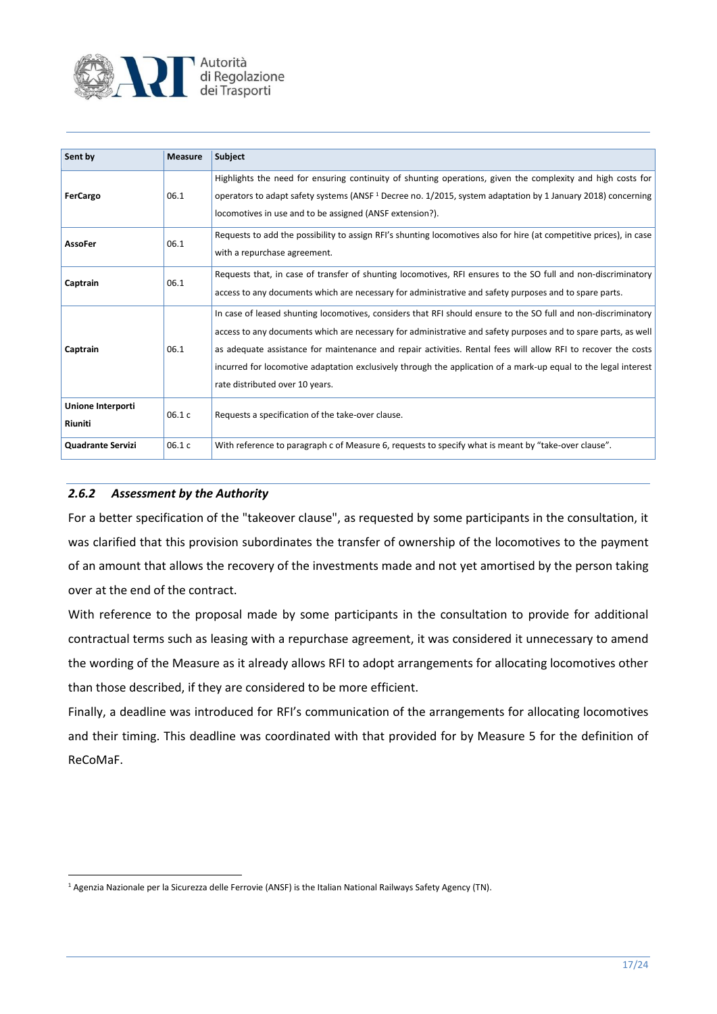

| Sent by                      | <b>Measure</b> | <b>Subject</b>                                                                                                                                                                                                                                                                                                                                                                                                                                                                                          |
|------------------------------|----------------|---------------------------------------------------------------------------------------------------------------------------------------------------------------------------------------------------------------------------------------------------------------------------------------------------------------------------------------------------------------------------------------------------------------------------------------------------------------------------------------------------------|
| FerCargo                     | 06.1           | Highlights the need for ensuring continuity of shunting operations, given the complexity and high costs for<br>operators to adapt safety systems (ANSF <sup>1</sup> Decree no. 1/2015, system adaptation by 1 January 2018) concerning<br>locomotives in use and to be assigned (ANSF extension?).                                                                                                                                                                                                      |
| <b>AssoFer</b>               | 06.1           | Requests to add the possibility to assign RFI's shunting locomotives also for hire (at competitive prices), in case<br>with a repurchase agreement.                                                                                                                                                                                                                                                                                                                                                     |
| Captrain                     | 06.1           | Requests that, in case of transfer of shunting locomotives, RFI ensures to the SO full and non-discriminatory<br>access to any documents which are necessary for administrative and safety purposes and to spare parts.                                                                                                                                                                                                                                                                                 |
| Captrain                     | 06.1           | In case of leased shunting locomotives, considers that RFI should ensure to the SO full and non-discriminatory<br>access to any documents which are necessary for administrative and safety purposes and to spare parts, as well<br>as adequate assistance for maintenance and repair activities. Rental fees will allow RFI to recover the costs<br>incurred for locomotive adaptation exclusively through the application of a mark-up equal to the legal interest<br>rate distributed over 10 years. |
| Unione Interporti<br>Riuniti | 06.1 c         | Requests a specification of the take-over clause.                                                                                                                                                                                                                                                                                                                                                                                                                                                       |
| <b>Quadrante Servizi</b>     | 06.1 c         | With reference to paragraph c of Measure 6, requests to specify what is meant by "take-over clause".                                                                                                                                                                                                                                                                                                                                                                                                    |

## *2.6.2 Assessment by the Authority*

For a better specification of the "takeover clause", as requested by some participants in the consultation, it was clarified that this provision subordinates the transfer of ownership of the locomotives to the payment of an amount that allows the recovery of the investments made and not yet amortised by the person taking over at the end of the contract.

With reference to the proposal made by some participants in the consultation to provide for additional contractual terms such as leasing with a repurchase agreement, it was considered it unnecessary to amend the wording of the Measure as it already allows RFI to adopt arrangements for allocating locomotives other than those described, if they are considered to be more efficient.

Finally, a deadline was introduced for RFI's communication of the arrangements for allocating locomotives and their timing. This deadline was coordinated with that provided for by Measure 5 for the definition of ReCoMaF.

**<sup>.</sup>** <sup>1</sup> Agenzia Nazionale per la Sicurezza delle Ferrovie (ANSF) is the Italian National Railways Safety Agency (TN).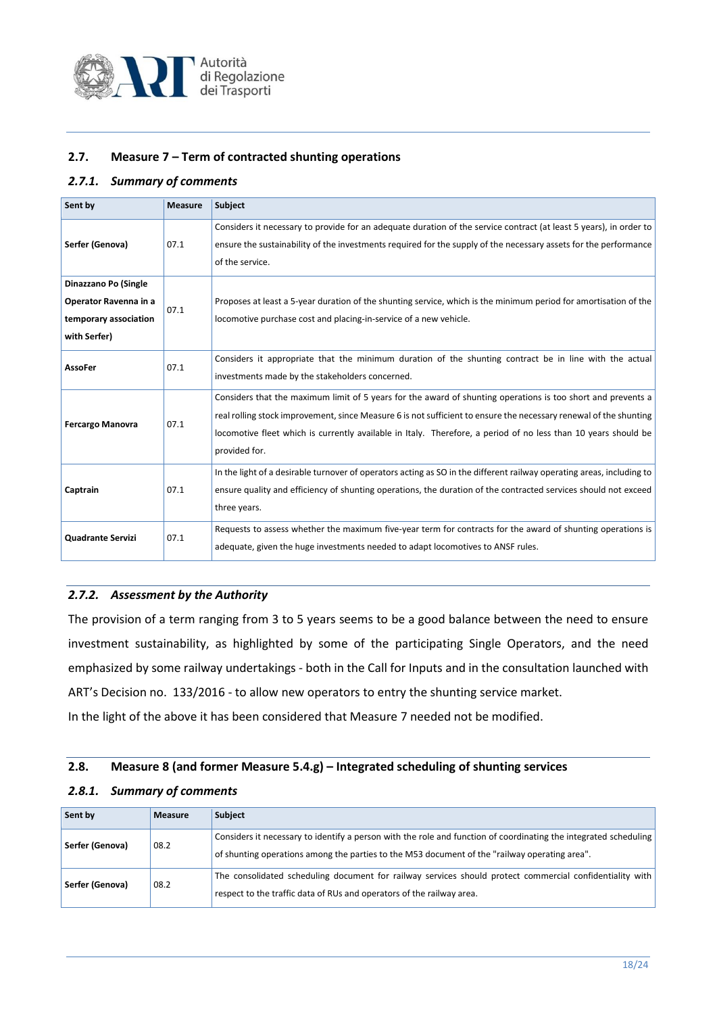

#### **2.7. Measure 7 – Term of contracted shunting operations**

#### *2.7.1. Summary of comments*

| Sent by                                                                                | <b>Measure</b> | Subject                                                                                                                                                                                                                                                                                                                                                              |
|----------------------------------------------------------------------------------------|----------------|----------------------------------------------------------------------------------------------------------------------------------------------------------------------------------------------------------------------------------------------------------------------------------------------------------------------------------------------------------------------|
| Serfer (Genova)                                                                        | 07.1           | Considers it necessary to provide for an adequate duration of the service contract (at least 5 years), in order to<br>ensure the sustainability of the investments required for the supply of the necessary assets for the performance<br>of the service.                                                                                                            |
| Dinazzano Po (Single<br>Operator Ravenna in a<br>temporary association<br>with Serfer) | 07.1           | Proposes at least a 5-year duration of the shunting service, which is the minimum period for amortisation of the<br>locomotive purchase cost and placing-in-service of a new vehicle.                                                                                                                                                                                |
| AssoFer                                                                                | 07.1           | Considers it appropriate that the minimum duration of the shunting contract be in line with the actual<br>investments made by the stakeholders concerned.                                                                                                                                                                                                            |
| <b>Fercargo Manovra</b>                                                                | 07.1           | Considers that the maximum limit of 5 years for the award of shunting operations is too short and prevents a<br>real rolling stock improvement, since Measure 6 is not sufficient to ensure the necessary renewal of the shunting<br>locomotive fleet which is currently available in Italy. Therefore, a period of no less than 10 years should be<br>provided for. |
| Captrain                                                                               | 07.1           | In the light of a desirable turnover of operators acting as SO in the different railway operating areas, including to<br>ensure quality and efficiency of shunting operations, the duration of the contracted services should not exceed<br>three years.                                                                                                             |
| <b>Quadrante Servizi</b>                                                               | 07.1           | Requests to assess whether the maximum five-year term for contracts for the award of shunting operations is<br>adequate, given the huge investments needed to adapt locomotives to ANSF rules.                                                                                                                                                                       |

#### *2.7.2. Assessment by the Authority*

The provision of a term ranging from 3 to 5 years seems to be a good balance between the need to ensure investment sustainability, as highlighted by some of the participating Single Operators, and the need emphasized by some railway undertakings - both in the Call for Inputs and in the consultation launched with ART's Decision no. 133/2016 - to allow new operators to entry the shunting service market.

In the light of the above it has been considered that Measure 7 needed not be modified.

#### **2.8. Measure 8 (and former Measure 5.4.g) – Integrated scheduling of shunting services**

#### *2.8.1. Summary of comments*

| Sent by         | <b>Measure</b> | <b>Subject</b>                                                                                                                                                                                                    |
|-----------------|----------------|-------------------------------------------------------------------------------------------------------------------------------------------------------------------------------------------------------------------|
| Serfer (Genova) | 08.2           | Considers it necessary to identify a person with the role and function of coordinating the integrated scheduling<br>of shunting operations among the parties to the M53 document of the "railway operating area". |
| Serfer (Genova) | 08.2           | The consolidated scheduling document for railway services should protect commercial confidentiality with<br>respect to the traffic data of RUs and operators of the railway area.                                 |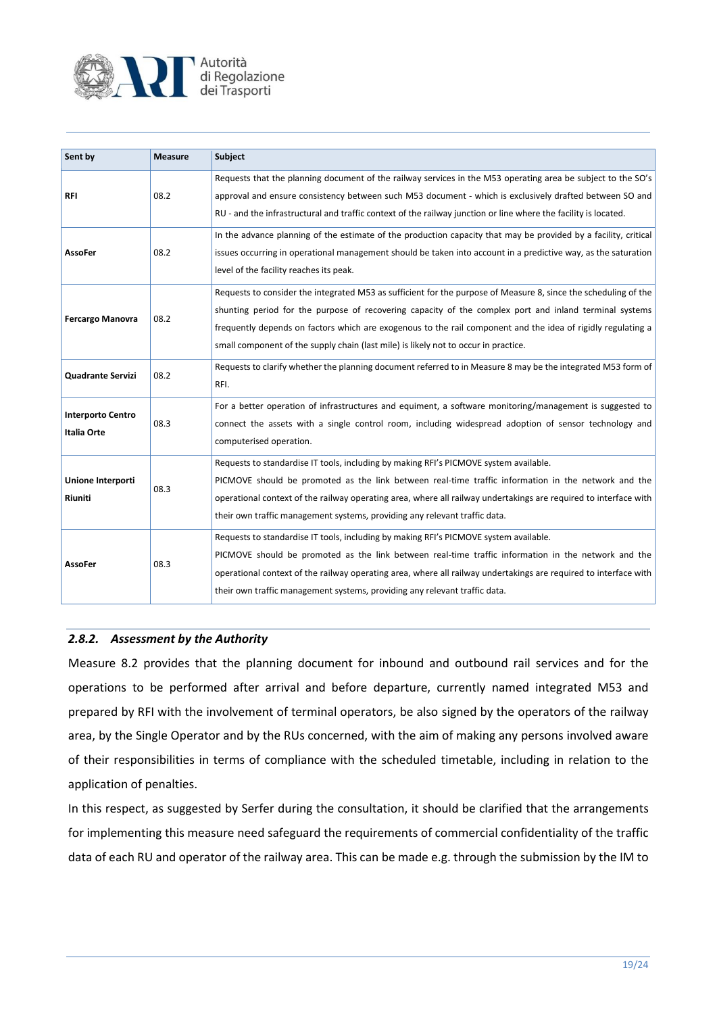

| Sent by                                        | <b>Measure</b> | Subject                                                                                                                                                                                                                                                                                                                                                                                                                          |
|------------------------------------------------|----------------|----------------------------------------------------------------------------------------------------------------------------------------------------------------------------------------------------------------------------------------------------------------------------------------------------------------------------------------------------------------------------------------------------------------------------------|
| <b>RFI</b>                                     | 08.2           | Requests that the planning document of the railway services in the M53 operating area be subject to the SO's<br>approval and ensure consistency between such M53 document - which is exclusively drafted between SO and<br>RU - and the infrastructural and traffic context of the railway junction or line where the facility is located.                                                                                       |
| <b>AssoFer</b>                                 | 08.2           | In the advance planning of the estimate of the production capacity that may be provided by a facility, critical<br>issues occurring in operational management should be taken into account in a predictive way, as the saturation<br>level of the facility reaches its peak.                                                                                                                                                     |
| <b>Fercargo Manovra</b>                        | 08.2           | Requests to consider the integrated M53 as sufficient for the purpose of Measure 8, since the scheduling of the<br>shunting period for the purpose of recovering capacity of the complex port and inland terminal systems<br>frequently depends on factors which are exogenous to the rail component and the idea of rigidly regulating a<br>small component of the supply chain (last mile) is likely not to occur in practice. |
| <b>Quadrante Servizi</b>                       | 08.2           | Requests to clarify whether the planning document referred to in Measure 8 may be the integrated M53 form of<br>RFI.                                                                                                                                                                                                                                                                                                             |
| <b>Interporto Centro</b><br><b>Italia Orte</b> | 08.3           | For a better operation of infrastructures and equiment, a software monitoring/management is suggested to<br>connect the assets with a single control room, including widespread adoption of sensor technology and<br>computerised operation.                                                                                                                                                                                     |
| Unione Interporti<br>Riuniti                   | 08.3           | Requests to standardise IT tools, including by making RFI's PICMOVE system available.<br>PICMOVE should be promoted as the link between real-time traffic information in the network and the<br>operational context of the railway operating area, where all railway undertakings are required to interface with<br>their own traffic management systems, providing any relevant traffic data.                                   |
| <b>AssoFer</b>                                 | 08.3           | Requests to standardise IT tools, including by making RFI's PICMOVE system available.<br>PICMOVE should be promoted as the link between real-time traffic information in the network and the<br>operational context of the railway operating area, where all railway undertakings are required to interface with<br>their own traffic management systems, providing any relevant traffic data.                                   |

#### *2.8.2. Assessment by the Authority*

Measure 8.2 provides that the planning document for inbound and outbound rail services and for the operations to be performed after arrival and before departure, currently named integrated M53 and prepared by RFI with the involvement of terminal operators, be also signed by the operators of the railway area, by the Single Operator and by the RUs concerned, with the aim of making any persons involved aware of their responsibilities in terms of compliance with the scheduled timetable, including in relation to the application of penalties.

In this respect, as suggested by Serfer during the consultation, it should be clarified that the arrangements for implementing this measure need safeguard the requirements of commercial confidentiality of the traffic data of each RU and operator of the railway area. This can be made e.g. through the submission by the IM to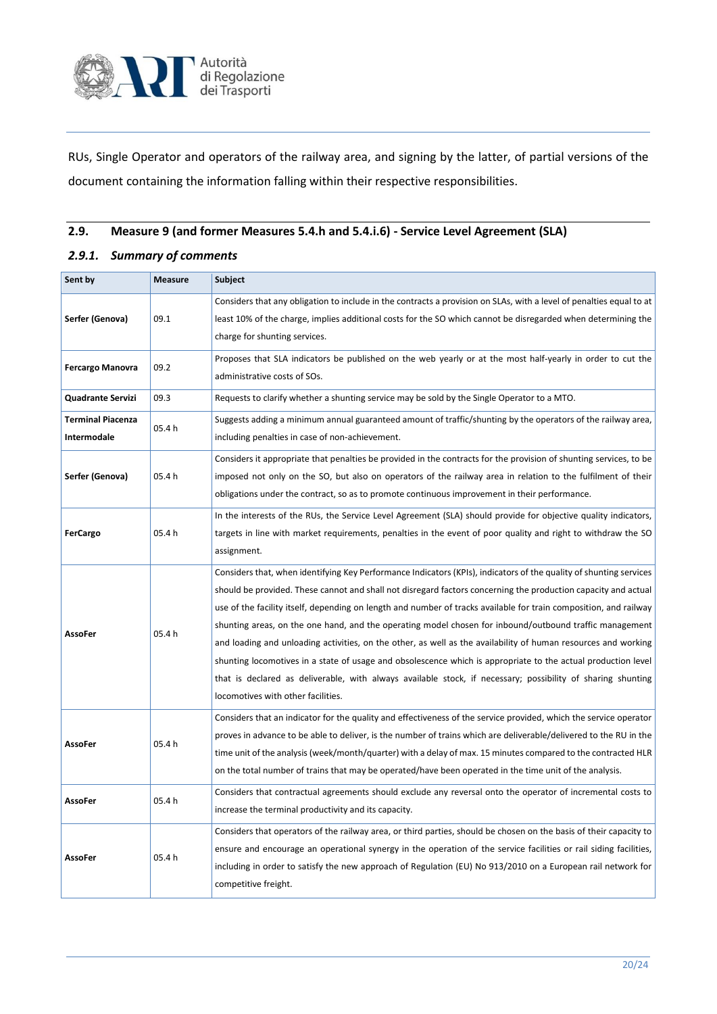

RUs, Single Operator and operators of the railway area, and signing by the latter, of partial versions of the document containing the information falling within their respective responsibilities.

## **2.9. Measure 9 (and former Measures 5.4.h and 5.4.i.6) - Service Level Agreement (SLA)**

#### *2.9.1. Summary of comments*

| Sent by                                 | <b>Measure</b> | Subject                                                                                                                                                                                                                                                                                                                                                                                                                                                                                                                                                                                                                                                                                                                                                                                                                                                      |
|-----------------------------------------|----------------|--------------------------------------------------------------------------------------------------------------------------------------------------------------------------------------------------------------------------------------------------------------------------------------------------------------------------------------------------------------------------------------------------------------------------------------------------------------------------------------------------------------------------------------------------------------------------------------------------------------------------------------------------------------------------------------------------------------------------------------------------------------------------------------------------------------------------------------------------------------|
| Serfer (Genova)                         | 09.1           | Considers that any obligation to include in the contracts a provision on SLAs, with a level of penalties equal to at<br>least 10% of the charge, implies additional costs for the SO which cannot be disregarded when determining the<br>charge for shunting services.                                                                                                                                                                                                                                                                                                                                                                                                                                                                                                                                                                                       |
| <b>Fercargo Manovra</b>                 | 09.2           | Proposes that SLA indicators be published on the web yearly or at the most half-yearly in order to cut the<br>administrative costs of SOs.                                                                                                                                                                                                                                                                                                                                                                                                                                                                                                                                                                                                                                                                                                                   |
| <b>Quadrante Servizi</b>                | 09.3           | Requests to clarify whether a shunting service may be sold by the Single Operator to a MTO.                                                                                                                                                                                                                                                                                                                                                                                                                                                                                                                                                                                                                                                                                                                                                                  |
| <b>Terminal Piacenza</b><br>Intermodale | 05.4h          | Suggests adding a minimum annual guaranteed amount of traffic/shunting by the operators of the railway area,<br>including penalties in case of non-achievement.                                                                                                                                                                                                                                                                                                                                                                                                                                                                                                                                                                                                                                                                                              |
| Serfer (Genova)                         | 05.4 h         | Considers it appropriate that penalties be provided in the contracts for the provision of shunting services, to be<br>imposed not only on the SO, but also on operators of the railway area in relation to the fulfilment of their<br>obligations under the contract, so as to promote continuous improvement in their performance.                                                                                                                                                                                                                                                                                                                                                                                                                                                                                                                          |
| <b>FerCargo</b>                         | 05.4 h         | In the interests of the RUs, the Service Level Agreement (SLA) should provide for objective quality indicators,<br>targets in line with market requirements, penalties in the event of poor quality and right to withdraw the SO<br>assignment.                                                                                                                                                                                                                                                                                                                                                                                                                                                                                                                                                                                                              |
| AssoFer                                 | 05.4 h         | Considers that, when identifying Key Performance Indicators (KPIs), indicators of the quality of shunting services<br>should be provided. These cannot and shall not disregard factors concerning the production capacity and actual<br>use of the facility itself, depending on length and number of tracks available for train composition, and railway<br>shunting areas, on the one hand, and the operating model chosen for inbound/outbound traffic management<br>and loading and unloading activities, on the other, as well as the availability of human resources and working<br>shunting locomotives in a state of usage and obsolescence which is appropriate to the actual production level<br>that is declared as deliverable, with always available stock, if necessary; possibility of sharing shunting<br>locomotives with other facilities. |
| <b>AssoFer</b>                          | 05.4h          | Considers that an indicator for the quality and effectiveness of the service provided, which the service operator<br>proves in advance to be able to deliver, is the number of trains which are deliverable/delivered to the RU in the<br>time unit of the analysis (week/month/quarter) with a delay of max. 15 minutes compared to the contracted HLR<br>on the total number of trains that may be operated/have been operated in the time unit of the analysis.                                                                                                                                                                                                                                                                                                                                                                                           |
| <b>AssoFer</b>                          | 05.4 h         | Considers that contractual agreements should exclude any reversal onto the operator of incremental costs to<br>increase the terminal productivity and its capacity.                                                                                                                                                                                                                                                                                                                                                                                                                                                                                                                                                                                                                                                                                          |
| <b>AssoFer</b>                          | 05.4 h         | Considers that operators of the railway area, or third parties, should be chosen on the basis of their capacity to<br>ensure and encourage an operational synergy in the operation of the service facilities or rail siding facilities,<br>including in order to satisfy the new approach of Regulation (EU) No 913/2010 on a European rail network for<br>competitive freight.                                                                                                                                                                                                                                                                                                                                                                                                                                                                              |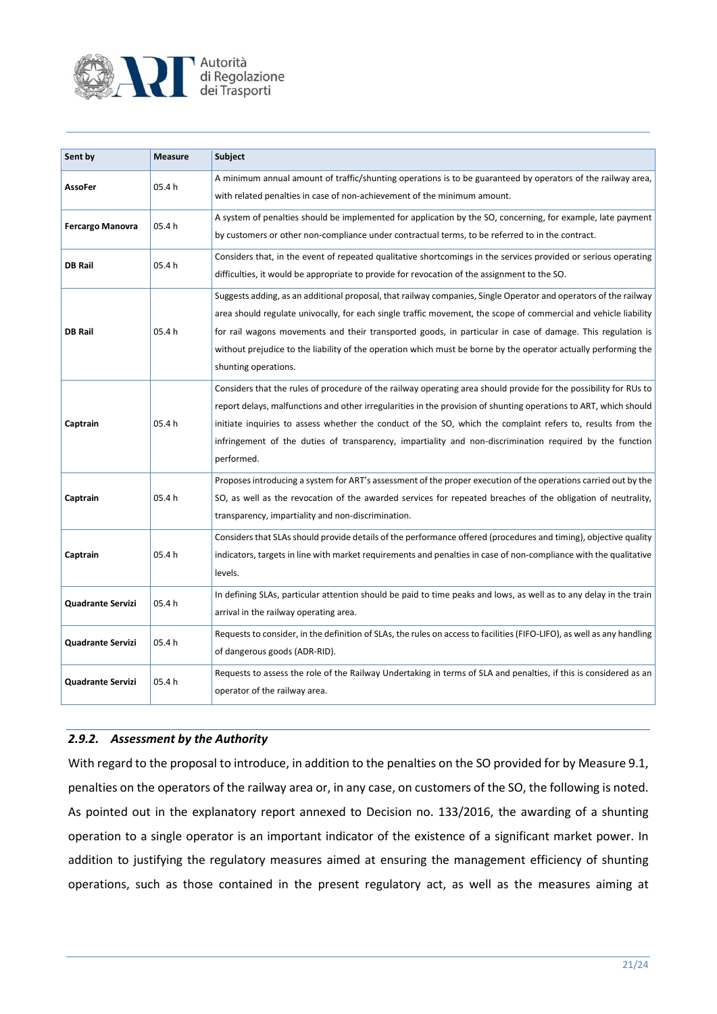

| Sent by                 | <b>Measure</b> | Subject                                                                                                                                                                                                                                                                                                                                                                                                                                                                                       |
|-------------------------|----------------|-----------------------------------------------------------------------------------------------------------------------------------------------------------------------------------------------------------------------------------------------------------------------------------------------------------------------------------------------------------------------------------------------------------------------------------------------------------------------------------------------|
| AssoFer                 | 05.4 h         | A minimum annual amount of traffic/shunting operations is to be guaranteed by operators of the railway area,<br>with related penalties in case of non-achievement of the minimum amount.                                                                                                                                                                                                                                                                                                      |
| <b>Fercargo Manovra</b> | 05.4h          | A system of penalties should be implemented for application by the SO, concerning, for example, late payment<br>by customers or other non-compliance under contractual terms, to be referred to in the contract.                                                                                                                                                                                                                                                                              |
| <b>DB Rail</b>          | 05.4h          | Considers that, in the event of repeated qualitative shortcomings in the services provided or serious operating<br>difficulties, it would be appropriate to provide for revocation of the assignment to the SO.                                                                                                                                                                                                                                                                               |
| <b>DB Rail</b>          | 05.4h          | Suggests adding, as an additional proposal, that railway companies, Single Operator and operators of the railway<br>area should regulate univocally, for each single traffic movement, the scope of commercial and vehicle liability<br>for rail wagons movements and their transported goods, in particular in case of damage. This regulation is<br>without prejudice to the liability of the operation which must be borne by the operator actually performing the<br>shunting operations. |
| Captrain                | 05.4h          | Considers that the rules of procedure of the railway operating area should provide for the possibility for RUs to<br>report delays, malfunctions and other irregularities in the provision of shunting operations to ART, which should<br>initiate inquiries to assess whether the conduct of the SO, which the complaint refers to, results from the<br>infringement of the duties of transparency, impartiality and non-discrimination required by the function<br>performed.               |
| Captrain                | 05.4h          | Proposes introducing a system for ART's assessment of the proper execution of the operations carried out by the<br>SO, as well as the revocation of the awarded services for repeated breaches of the obligation of neutrality,<br>transparency, impartiality and non-discrimination.                                                                                                                                                                                                         |
| Captrain                | 05.4h          | Considers that SLAs should provide details of the performance offered (procedures and timing), objective quality<br>indicators, targets in line with market requirements and penalties in case of non-compliance with the qualitative<br>levels.                                                                                                                                                                                                                                              |
| Quadrante Servizi       | 05.4 h         | In defining SLAs, particular attention should be paid to time peaks and lows, as well as to any delay in the train<br>arrival in the railway operating area.                                                                                                                                                                                                                                                                                                                                  |
| Quadrante Servizi       | 05.4h          | Requests to consider, in the definition of SLAs, the rules on access to facilities (FIFO-LIFO), as well as any handling<br>of dangerous goods (ADR-RID).                                                                                                                                                                                                                                                                                                                                      |
| Quadrante Servizi       | 05.4 h         | Requests to assess the role of the Railway Undertaking in terms of SLA and penalties, if this is considered as an<br>operator of the railway area.                                                                                                                                                                                                                                                                                                                                            |

#### *2.9.2. Assessment by the Authority*

With regard to the proposal to introduce, in addition to the penalties on the SO provided for by Measure 9.1, penalties on the operators of the railway area or, in any case, on customers of the SO, the following is noted. As pointed out in the explanatory report annexed to Decision no. 133/2016, the awarding of a shunting operation to a single operator is an important indicator of the existence of a significant market power. In addition to justifying the regulatory measures aimed at ensuring the management efficiency of shunting operations, such as those contained in the present regulatory act, as well as the measures aiming at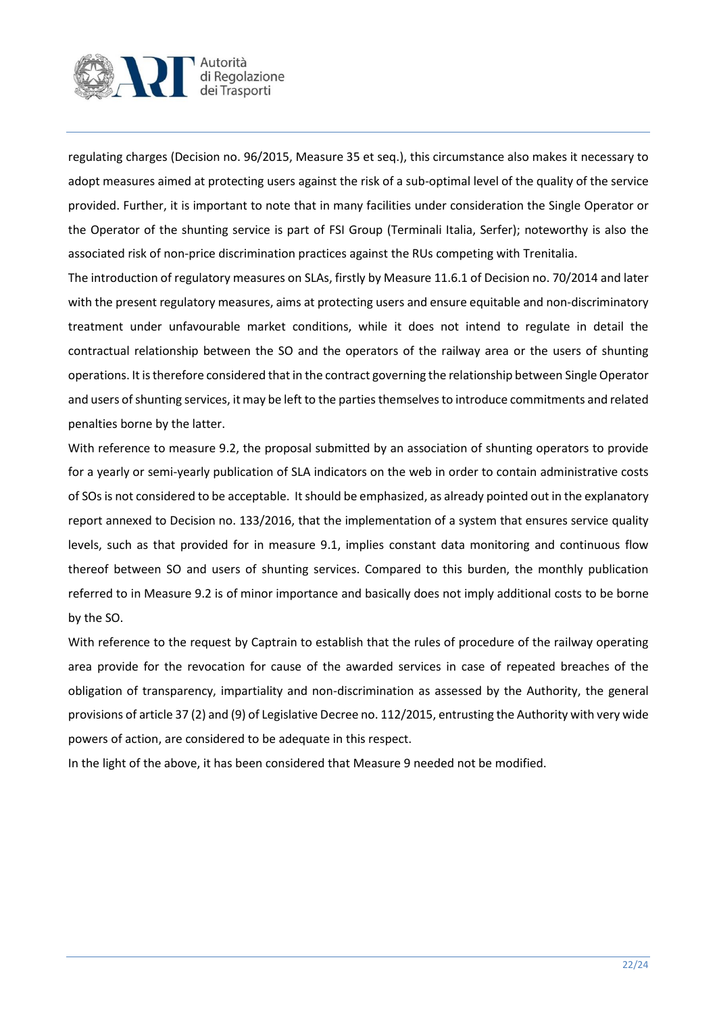

regulating charges (Decision no. 96/2015, Measure 35 et seq.), this circumstance also makes it necessary to adopt measures aimed at protecting users against the risk of a sub-optimal level of the quality of the service provided. Further, it is important to note that in many facilities under consideration the Single Operator or the Operator of the shunting service is part of FSI Group (Terminali Italia, Serfer); noteworthy is also the associated risk of non-price discrimination practices against the RUs competing with Trenitalia.

The introduction of regulatory measures on SLAs, firstly by Measure 11.6.1 of Decision no. 70/2014 and later with the present regulatory measures, aims at protecting users and ensure equitable and non-discriminatory treatment under unfavourable market conditions, while it does not intend to regulate in detail the contractual relationship between the SO and the operators of the railway area or the users of shunting operations. It is therefore considered that in the contract governing the relationship between Single Operator and users of shunting services, it may be left to the parties themselves to introduce commitments and related penalties borne by the latter.

With reference to measure 9.2, the proposal submitted by an association of shunting operators to provide for a yearly or semi-yearly publication of SLA indicators on the web in order to contain administrative costs of SOs is not considered to be acceptable. It should be emphasized, as already pointed out in the explanatory report annexed to Decision no. 133/2016, that the implementation of a system that ensures service quality levels, such as that provided for in measure 9.1, implies constant data monitoring and continuous flow thereof between SO and users of shunting services. Compared to this burden, the monthly publication referred to in Measure 9.2 is of minor importance and basically does not imply additional costs to be borne by the SO.

With reference to the request by Captrain to establish that the rules of procedure of the railway operating area provide for the revocation for cause of the awarded services in case of repeated breaches of the obligation of transparency, impartiality and non-discrimination as assessed by the Authority, the general provisions of article 37 (2) and (9) of Legislative Decree no. 112/2015, entrusting the Authority with very wide powers of action, are considered to be adequate in this respect.

In the light of the above, it has been considered that Measure 9 needed not be modified.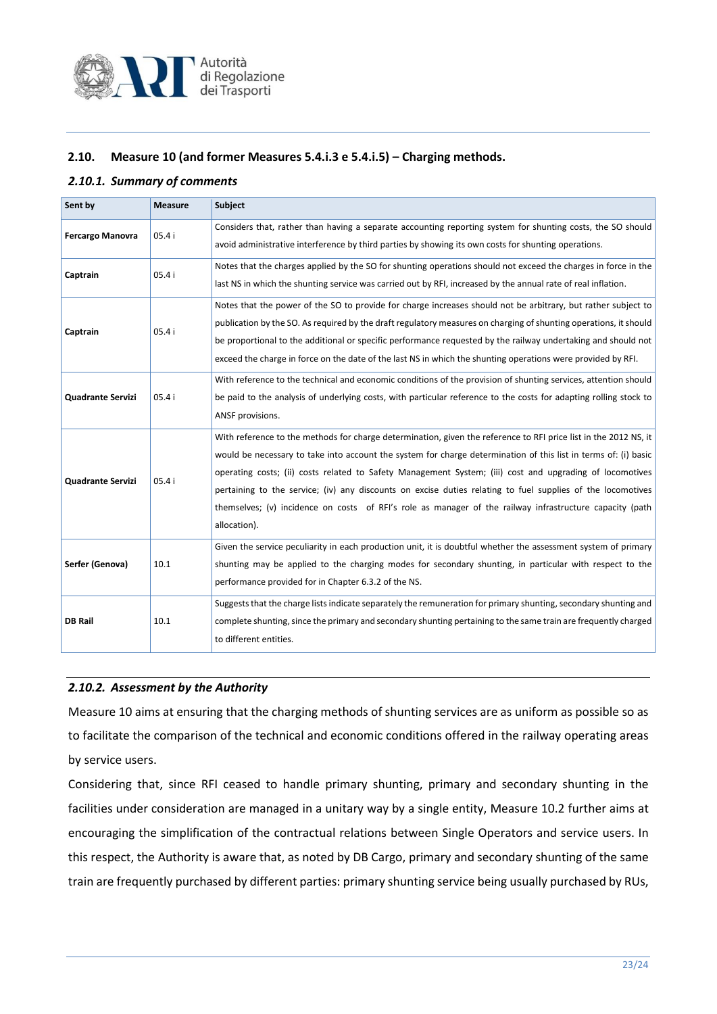

#### **2.10. Measure 10 (and former Measures 5.4.i.3 e 5.4.i.5) – Charging methods.**

#### *2.10.1. Summary of comments*

| Sent by                  | <b>Measure</b> | Subject                                                                                                                                                                                                                                                                                                                                                                                                                                                                                                                                                                                    |
|--------------------------|----------------|--------------------------------------------------------------------------------------------------------------------------------------------------------------------------------------------------------------------------------------------------------------------------------------------------------------------------------------------------------------------------------------------------------------------------------------------------------------------------------------------------------------------------------------------------------------------------------------------|
| <b>Fercargo Manovra</b>  | 05.4i          | Considers that, rather than having a separate accounting reporting system for shunting costs, the SO should<br>avoid administrative interference by third parties by showing its own costs for shunting operations.                                                                                                                                                                                                                                                                                                                                                                        |
| Captrain                 | 05.4i          | Notes that the charges applied by the SO for shunting operations should not exceed the charges in force in the<br>last NS in which the shunting service was carried out by RFI, increased by the annual rate of real inflation.                                                                                                                                                                                                                                                                                                                                                            |
| Captrain                 | 05.4i          | Notes that the power of the SO to provide for charge increases should not be arbitrary, but rather subject to<br>publication by the SO. As required by the draft regulatory measures on charging of shunting operations, it should<br>be proportional to the additional or specific performance requested by the railway undertaking and should not<br>exceed the charge in force on the date of the last NS in which the shunting operations were provided by RFI.                                                                                                                        |
| <b>Quadrante Servizi</b> | 05.4i          | With reference to the technical and economic conditions of the provision of shunting services, attention should<br>be paid to the analysis of underlying costs, with particular reference to the costs for adapting rolling stock to<br>ANSF provisions.                                                                                                                                                                                                                                                                                                                                   |
| <b>Quadrante Servizi</b> | 05.4 i         | With reference to the methods for charge determination, given the reference to RFI price list in the 2012 NS, it<br>would be necessary to take into account the system for charge determination of this list in terms of: (i) basic<br>operating costs; (ii) costs related to Safety Management System; (iii) cost and upgrading of locomotives<br>pertaining to the service; (iv) any discounts on excise duties relating to fuel supplies of the locomotives<br>themselves; (v) incidence on costs of RFI's role as manager of the railway infrastructure capacity (path<br>allocation). |
| Serfer (Genova)          | 10.1           | Given the service peculiarity in each production unit, it is doubtful whether the assessment system of primary<br>shunting may be applied to the charging modes for secondary shunting, in particular with respect to the<br>performance provided for in Chapter 6.3.2 of the NS.                                                                                                                                                                                                                                                                                                          |
| <b>DB Rail</b>           | 10.1           | Suggests that the charge lists indicate separately the remuneration for primary shunting, secondary shunting and<br>complete shunting, since the primary and secondary shunting pertaining to the same train are frequently charged<br>to different entities.                                                                                                                                                                                                                                                                                                                              |

#### *2.10.2. Assessment by the Authority*

Measure 10 aims at ensuring that the charging methods of shunting services are as uniform as possible so as to facilitate the comparison of the technical and economic conditions offered in the railway operating areas by service users.

Considering that, since RFI ceased to handle primary shunting, primary and secondary shunting in the facilities under consideration are managed in a unitary way by a single entity, Measure 10.2 further aims at encouraging the simplification of the contractual relations between Single Operators and service users. In this respect, the Authority is aware that, as noted by DB Cargo, primary and secondary shunting of the same train are frequently purchased by different parties: primary shunting service being usually purchased by RUs,